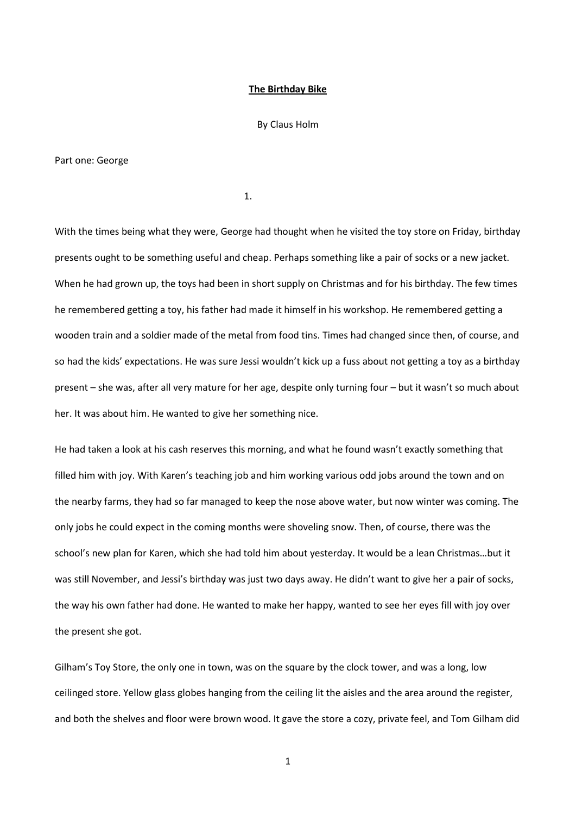### **The Birthday Bike**

#### By Claus Holm

#### Part one: George

1.

With the times being what they were, George had thought when he visited the toy store on Friday, birthday presents ought to be something useful and cheap. Perhaps something like a pair of socks or a new jacket. When he had grown up, the toys had been in short supply on Christmas and for his birthday. The few times he remembered getting a toy, his father had made it himself in his workshop. He remembered getting a wooden train and a soldier made of the metal from food tins. Times had changed since then, of course, and so had the kids' expectations. He was sure Jessi wouldn't kick up a fuss about not getting a toy as a birthday present – she was, after all very mature for her age, despite only turning four – but it wasn't so much about her. It was about him. He wanted to give her something nice.

He had taken a look at his cash reserves this morning, and what he found wasn't exactly something that filled him with joy. With Karen's teaching job and him working various odd jobs around the town and on the nearby farms, they had so far managed to keep the nose above water, but now winter was coming. The only jobs he could expect in the coming months were shoveling snow. Then, of course, there was the school's new plan for Karen, which she had told him about yesterday. It would be a lean Christmas…but it was still November, and Jessi's birthday was just two days away. He didn't want to give her a pair of socks, the way his own father had done. He wanted to make her happy, wanted to see her eyes fill with joy over the present she got.

Gilham's Toy Store, the only one in town, was on the square by the clock tower, and was a long, low ceilinged store. Yellow glass globes hanging from the ceiling lit the aisles and the area around the register, and both the shelves and floor were brown wood. It gave the store a cozy, private feel, and Tom Gilham did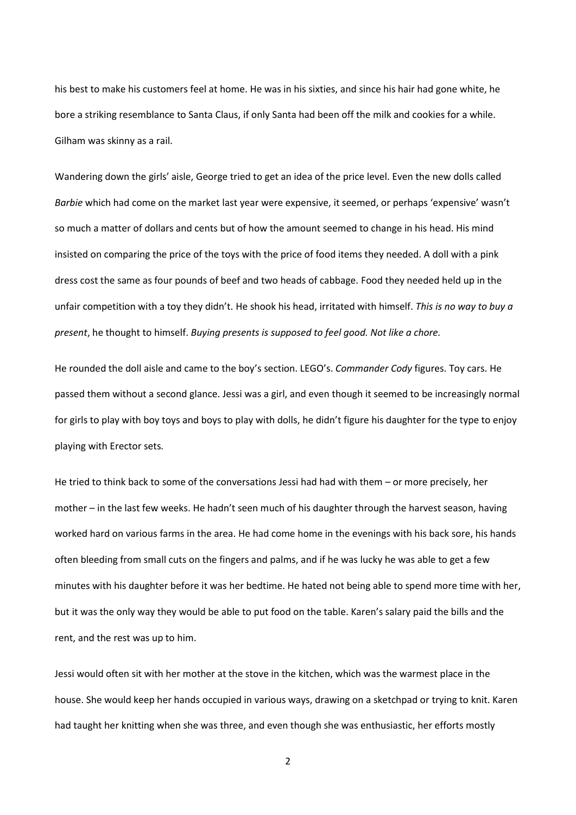his best to make his customers feel at home. He was in his sixties, and since his hair had gone white, he bore a striking resemblance to Santa Claus, if only Santa had been off the milk and cookies for a while. Gilham was skinny as a rail.

Wandering down the girls' aisle, George tried to get an idea of the price level. Even the new dolls called *Barbie* which had come on the market last year were expensive, it seemed, or perhaps 'expensive' wasn't so much a matter of dollars and cents but of how the amount seemed to change in his head. His mind insisted on comparing the price of the toys with the price of food items they needed. A doll with a pink dress cost the same as four pounds of beef and two heads of cabbage. Food they needed held up in the unfair competition with a toy they didn't. He shook his head, irritated with himself. *This is no way to buy a present*, he thought to himself. *Buying presents is supposed to feel good. Not like a chore.*

He rounded the doll aisle and came to the boy's section. LEGO's. *Commander Cody* figures. Toy cars. He passed them without a second glance. Jessi was a girl, and even though it seemed to be increasingly normal for girls to play with boy toys and boys to play with dolls, he didn't figure his daughter for the type to enjoy playing with Erector sets*.*

He tried to think back to some of the conversations Jessi had had with them – or more precisely, her mother – in the last few weeks. He hadn't seen much of his daughter through the harvest season, having worked hard on various farms in the area. He had come home in the evenings with his back sore, his hands often bleeding from small cuts on the fingers and palms, and if he was lucky he was able to get a few minutes with his daughter before it was her bedtime. He hated not being able to spend more time with her, but it was the only way they would be able to put food on the table. Karen's salary paid the bills and the rent, and the rest was up to him.

Jessi would often sit with her mother at the stove in the kitchen, which was the warmest place in the house. She would keep her hands occupied in various ways, drawing on a sketchpad or trying to knit. Karen had taught her knitting when she was three, and even though she was enthusiastic, her efforts mostly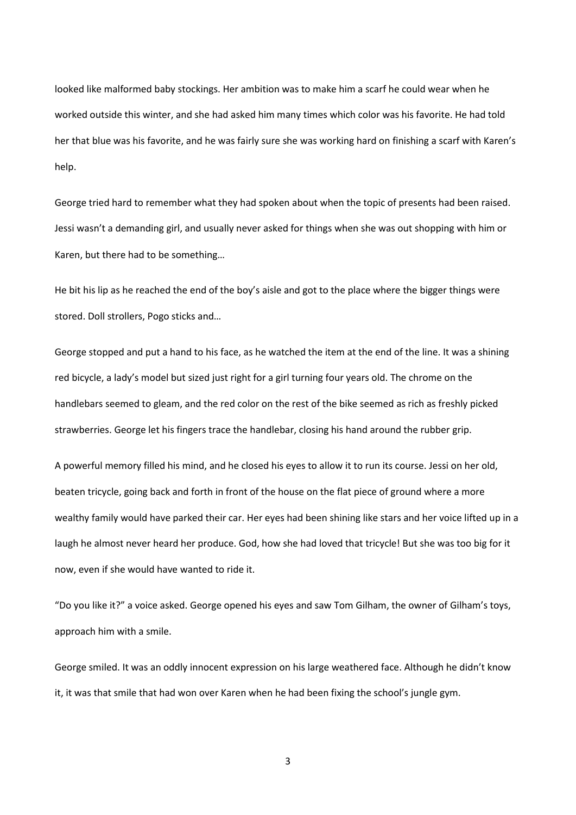looked like malformed baby stockings. Her ambition was to make him a scarf he could wear when he worked outside this winter, and she had asked him many times which color was his favorite. He had told her that blue was his favorite, and he was fairly sure she was working hard on finishing a scarf with Karen's help.

George tried hard to remember what they had spoken about when the topic of presents had been raised. Jessi wasn't a demanding girl, and usually never asked for things when she was out shopping with him or Karen, but there had to be something…

He bit his lip as he reached the end of the boy's aisle and got to the place where the bigger things were stored. Doll strollers, Pogo sticks and…

George stopped and put a hand to his face, as he watched the item at the end of the line. It was a shining red bicycle, a lady's model but sized just right for a girl turning four years old. The chrome on the handlebars seemed to gleam, and the red color on the rest of the bike seemed as rich as freshly picked strawberries. George let his fingers trace the handlebar, closing his hand around the rubber grip.

A powerful memory filled his mind, and he closed his eyes to allow it to run its course. Jessi on her old, beaten tricycle, going back and forth in front of the house on the flat piece of ground where a more wealthy family would have parked their car. Her eyes had been shining like stars and her voice lifted up in a laugh he almost never heard her produce. God, how she had loved that tricycle! But she was too big for it now, even if she would have wanted to ride it.

"Do you like it?" a voice asked. George opened his eyes and saw Tom Gilham, the owner of Gilham's toys, approach him with a smile.

George smiled. It was an oddly innocent expression on his large weathered face. Although he didn't know it, it was that smile that had won over Karen when he had been fixing the school's jungle gym.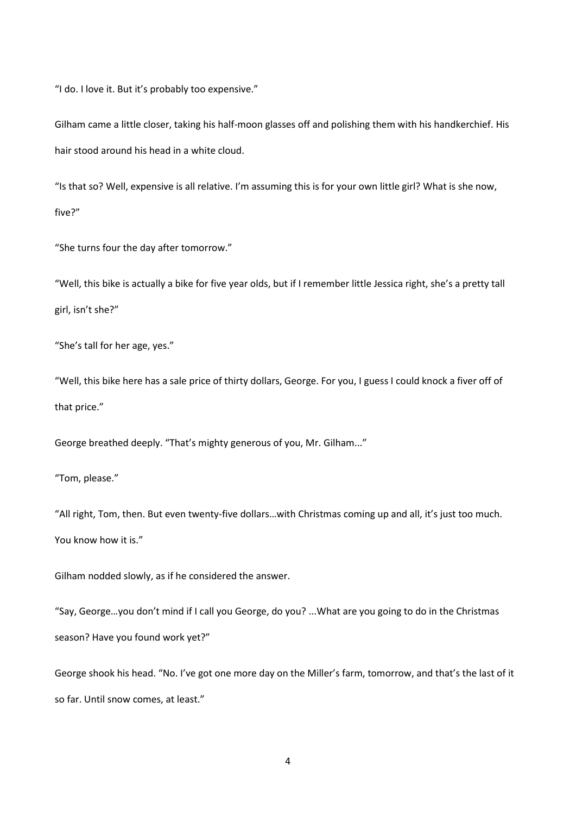"I do. I love it. But it's probably too expensive."

Gilham came a little closer, taking his half-moon glasses off and polishing them with his handkerchief. His hair stood around his head in a white cloud.

"Is that so? Well, expensive is all relative. I'm assuming this is for your own little girl? What is she now, five?"

"She turns four the day after tomorrow."

"Well, this bike is actually a bike for five year olds, but if I remember little Jessica right, she's a pretty tall girl, isn't she?"

"She's tall for her age, yes."

"Well, this bike here has a sale price of thirty dollars, George. For you, I guess I could knock a fiver off of that price."

George breathed deeply. "That's mighty generous of you, Mr. Gilham..."

"Tom, please."

"All right, Tom, then. But even twenty-five dollars…with Christmas coming up and all, it's just too much. You know how it is."

Gilham nodded slowly, as if he considered the answer.

"Say, George…you don't mind if I call you George, do you? ...What are you going to do in the Christmas season? Have you found work yet?"

George shook his head. "No. I've got one more day on the Miller's farm, tomorrow, and that's the last of it so far. Until snow comes, at least."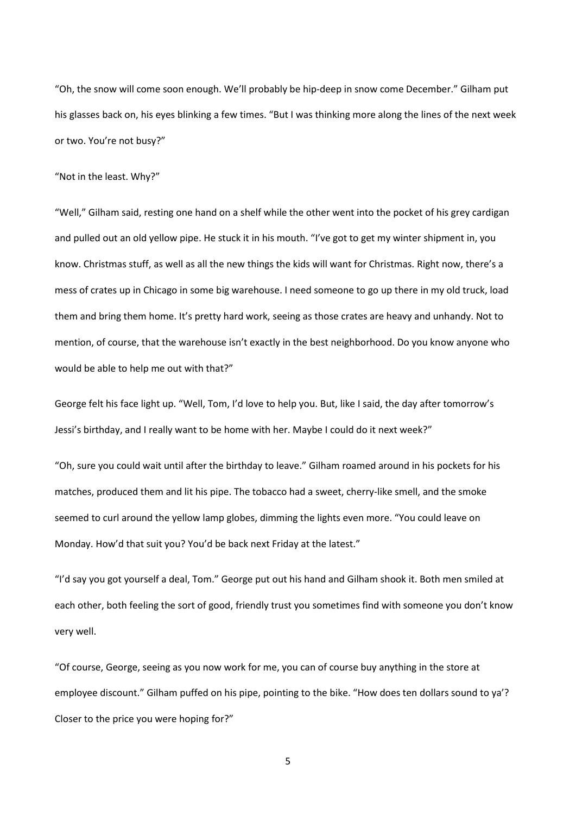"Oh, the snow will come soon enough. We'll probably be hip-deep in snow come December." Gilham put his glasses back on, his eyes blinking a few times. "But I was thinking more along the lines of the next week or two. You're not busy?"

"Not in the least. Why?"

"Well," Gilham said, resting one hand on a shelf while the other went into the pocket of his grey cardigan and pulled out an old yellow pipe. He stuck it in his mouth. "I've got to get my winter shipment in, you know. Christmas stuff, as well as all the new things the kids will want for Christmas. Right now, there's a mess of crates up in Chicago in some big warehouse. I need someone to go up there in my old truck, load them and bring them home. It's pretty hard work, seeing as those crates are heavy and unhandy. Not to mention, of course, that the warehouse isn't exactly in the best neighborhood. Do you know anyone who would be able to help me out with that?"

George felt his face light up. "Well, Tom, I'd love to help you. But, like I said, the day after tomorrow's Jessi's birthday, and I really want to be home with her. Maybe I could do it next week?"

"Oh, sure you could wait until after the birthday to leave." Gilham roamed around in his pockets for his matches, produced them and lit his pipe. The tobacco had a sweet, cherry-like smell, and the smoke seemed to curl around the yellow lamp globes, dimming the lights even more. "You could leave on Monday. How'd that suit you? You'd be back next Friday at the latest."

"I'd say you got yourself a deal, Tom." George put out his hand and Gilham shook it. Both men smiled at each other, both feeling the sort of good, friendly trust you sometimes find with someone you don't know very well.

"Of course, George, seeing as you now work for me, you can of course buy anything in the store at employee discount." Gilham puffed on his pipe, pointing to the bike. "How does ten dollars sound to ya'? Closer to the price you were hoping for?"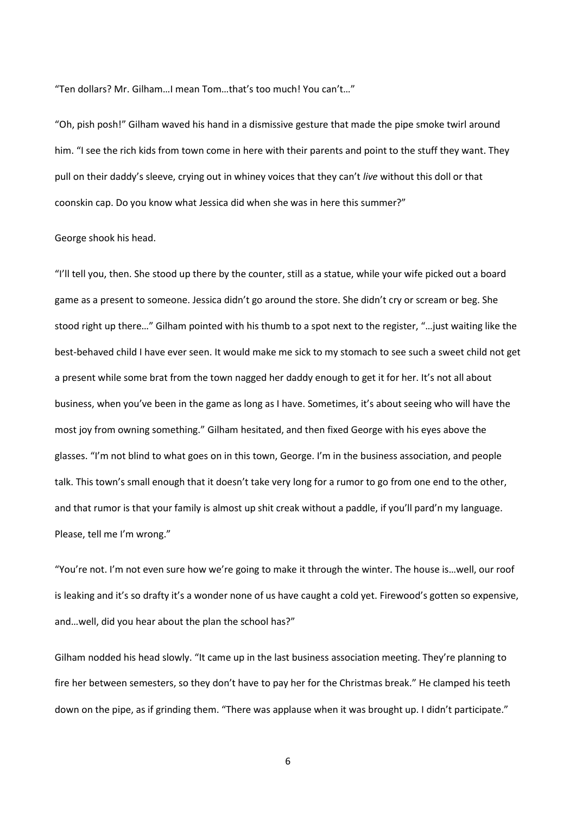"Ten dollars? Mr. Gilham…I mean Tom…that's too much! You can't…"

"Oh, pish posh!" Gilham waved his hand in a dismissive gesture that made the pipe smoke twirl around him. "I see the rich kids from town come in here with their parents and point to the stuff they want. They pull on their daddy's sleeve, crying out in whiney voices that they can't *live* without this doll or that coonskin cap. Do you know what Jessica did when she was in here this summer?"

### George shook his head.

"I'll tell you, then. She stood up there by the counter, still as a statue, while your wife picked out a board game as a present to someone. Jessica didn't go around the store. She didn't cry or scream or beg. She stood right up there…" Gilham pointed with his thumb to a spot next to the register, "…just waiting like the best-behaved child I have ever seen. It would make me sick to my stomach to see such a sweet child not get a present while some brat from the town nagged her daddy enough to get it for her. It's not all about business, when you've been in the game as long as I have. Sometimes, it's about seeing who will have the most joy from owning something." Gilham hesitated, and then fixed George with his eyes above the glasses. "I'm not blind to what goes on in this town, George. I'm in the business association, and people talk. This town's small enough that it doesn't take very long for a rumor to go from one end to the other, and that rumor is that your family is almost up shit creak without a paddle, if you'll pard'n my language. Please, tell me I'm wrong."

"You're not. I'm not even sure how we're going to make it through the winter. The house is…well, our roof is leaking and it's so drafty it's a wonder none of us have caught a cold yet. Firewood's gotten so expensive, and…well, did you hear about the plan the school has?"

Gilham nodded his head slowly. "It came up in the last business association meeting. They're planning to fire her between semesters, so they don't have to pay her for the Christmas break." He clamped his teeth down on the pipe, as if grinding them. "There was applause when it was brought up. I didn't participate."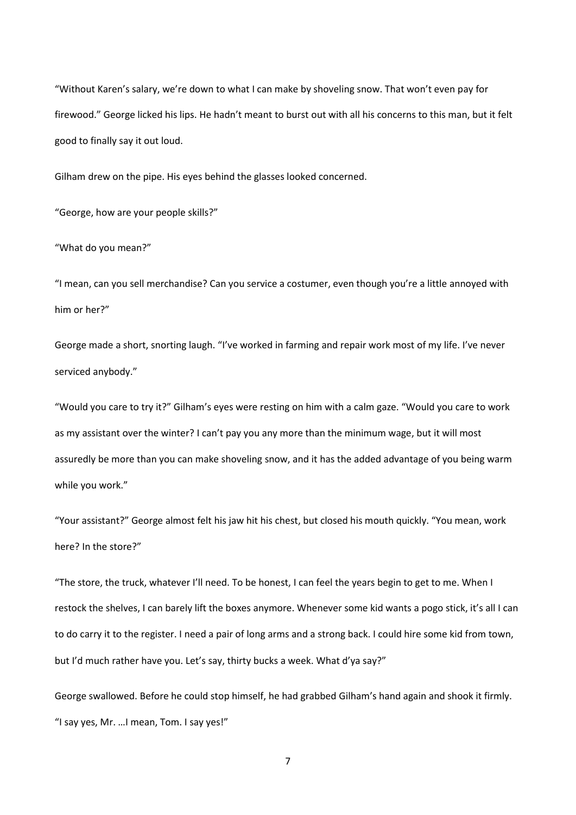"Without Karen's salary, we're down to what I can make by shoveling snow. That won't even pay for firewood." George licked his lips. He hadn't meant to burst out with all his concerns to this man, but it felt good to finally say it out loud.

Gilham drew on the pipe. His eyes behind the glasses looked concerned.

"George, how are your people skills?"

"What do you mean?"

"I mean, can you sell merchandise? Can you service a costumer, even though you're a little annoyed with him or her?"

George made a short, snorting laugh. "I've worked in farming and repair work most of my life. I've never serviced anybody."

"Would you care to try it?" Gilham's eyes were resting on him with a calm gaze. "Would you care to work as my assistant over the winter? I can't pay you any more than the minimum wage, but it will most assuredly be more than you can make shoveling snow, and it has the added advantage of you being warm while you work."

"Your assistant?" George almost felt his jaw hit his chest, but closed his mouth quickly. "You mean, work here? In the store?"

"The store, the truck, whatever I'll need. To be honest, I can feel the years begin to get to me. When I restock the shelves, I can barely lift the boxes anymore. Whenever some kid wants a pogo stick, it's all I can to do carry it to the register. I need a pair of long arms and a strong back. I could hire some kid from town, but I'd much rather have you. Let's say, thirty bucks a week. What d'ya say?"

George swallowed. Before he could stop himself, he had grabbed Gilham's hand again and shook it firmly. "I say yes, Mr. …I mean, Tom. I say yes!"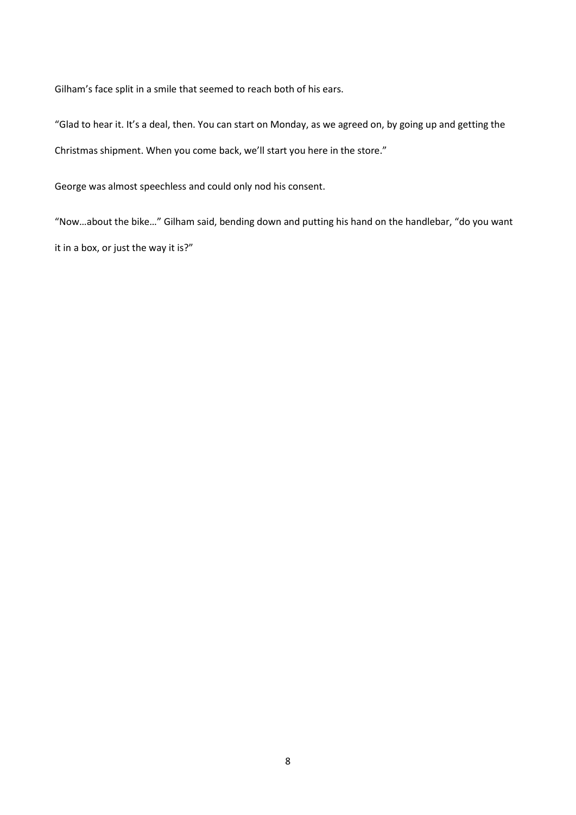Gilham's face split in a smile that seemed to reach both of his ears.

"Glad to hear it. It's a deal, then. You can start on Monday, as we agreed on, by going up and getting the Christmas shipment. When you come back, we'll start you here in the store."

George was almost speechless and could only nod his consent.

"Now…about the bike…" Gilham said, bending down and putting his hand on the handlebar, "do you want it in a box, or just the way it is?"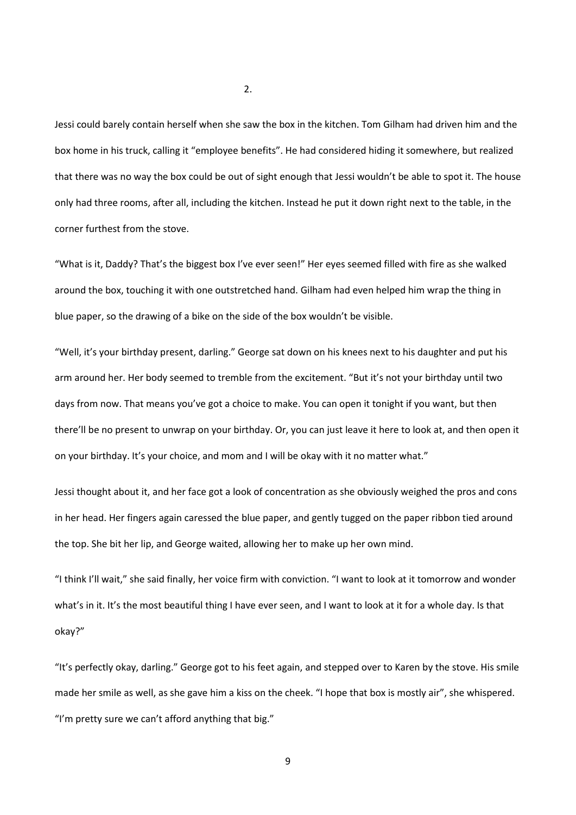Jessi could barely contain herself when she saw the box in the kitchen. Tom Gilham had driven him and the box home in his truck, calling it "employee benefits". He had considered hiding it somewhere, but realized that there was no way the box could be out of sight enough that Jessi wouldn't be able to spot it. The house only had three rooms, after all, including the kitchen. Instead he put it down right next to the table, in the corner furthest from the stove.

"What is it, Daddy? That's the biggest box I've ever seen!" Her eyes seemed filled with fire as she walked around the box, touching it with one outstretched hand. Gilham had even helped him wrap the thing in blue paper, so the drawing of a bike on the side of the box wouldn't be visible.

"Well, it's your birthday present, darling." George sat down on his knees next to his daughter and put his arm around her. Her body seemed to tremble from the excitement. "But it's not your birthday until two days from now. That means you've got a choice to make. You can open it tonight if you want, but then there'll be no present to unwrap on your birthday. Or, you can just leave it here to look at, and then open it on your birthday. It's your choice, and mom and I will be okay with it no matter what."

Jessi thought about it, and her face got a look of concentration as she obviously weighed the pros and cons in her head. Her fingers again caressed the blue paper, and gently tugged on the paper ribbon tied around the top. She bit her lip, and George waited, allowing her to make up her own mind.

"I think I'll wait," she said finally, her voice firm with conviction. "I want to look at it tomorrow and wonder what's in it. It's the most beautiful thing I have ever seen, and I want to look at it for a whole day. Is that okay?"

"It's perfectly okay, darling." George got to his feet again, and stepped over to Karen by the stove. His smile made her smile as well, as she gave him a kiss on the cheek. "I hope that box is mostly air", she whispered. "I'm pretty sure we can't afford anything that big."

2.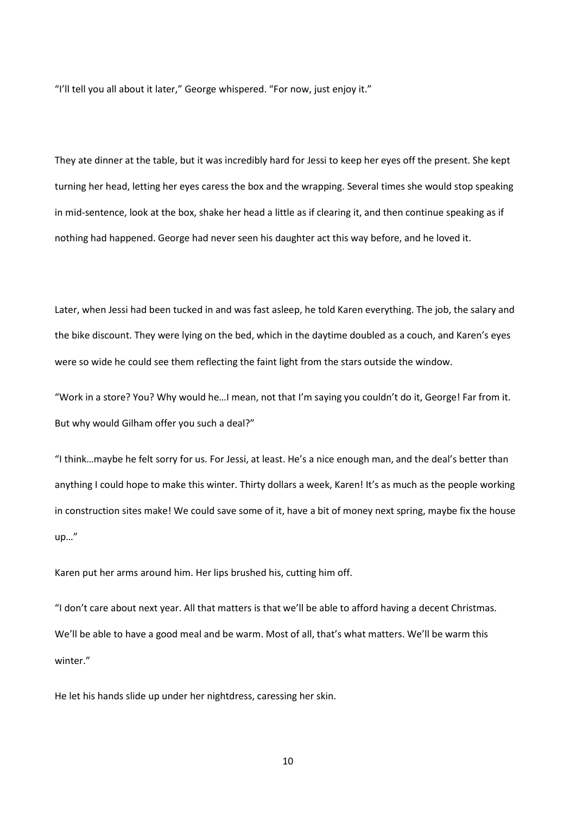"I'll tell you all about it later," George whispered. "For now, just enjoy it."

They ate dinner at the table, but it was incredibly hard for Jessi to keep her eyes off the present. She kept turning her head, letting her eyes caress the box and the wrapping. Several times she would stop speaking in mid-sentence, look at the box, shake her head a little as if clearing it, and then continue speaking as if nothing had happened. George had never seen his daughter act this way before, and he loved it.

Later, when Jessi had been tucked in and was fast asleep, he told Karen everything. The job, the salary and the bike discount. They were lying on the bed, which in the daytime doubled as a couch, and Karen's eyes were so wide he could see them reflecting the faint light from the stars outside the window.

"Work in a store? You? Why would he…I mean, not that I'm saying you couldn't do it, George! Far from it. But why would Gilham offer you such a deal?"

"I think…maybe he felt sorry for us. For Jessi, at least. He's a nice enough man, and the deal's better than anything I could hope to make this winter. Thirty dollars a week, Karen! It's as much as the people working in construction sites make! We could save some of it, have a bit of money next spring, maybe fix the house up…"

Karen put her arms around him. Her lips brushed his, cutting him off.

"I don't care about next year. All that matters is that we'll be able to afford having a decent Christmas. We'll be able to have a good meal and be warm. Most of all, that's what matters. We'll be warm this winter."

He let his hands slide up under her nightdress, caressing her skin.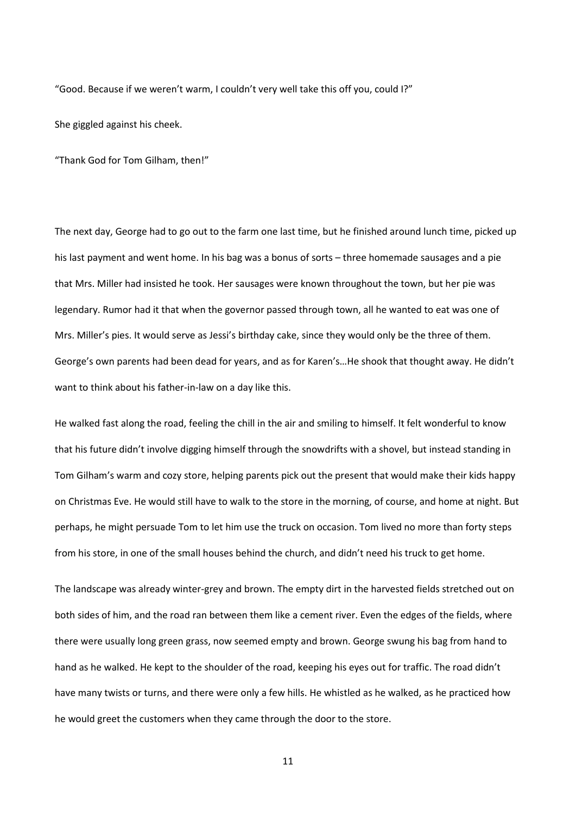"Good. Because if we weren't warm, I couldn't very well take this off you, could I?"

She giggled against his cheek.

"Thank God for Tom Gilham, then!"

The next day, George had to go out to the farm one last time, but he finished around lunch time, picked up his last payment and went home. In his bag was a bonus of sorts – three homemade sausages and a pie that Mrs. Miller had insisted he took. Her sausages were known throughout the town, but her pie was legendary. Rumor had it that when the governor passed through town, all he wanted to eat was one of Mrs. Miller's pies. It would serve as Jessi's birthday cake, since they would only be the three of them. George's own parents had been dead for years, and as for Karen's…He shook that thought away. He didn't want to think about his father-in-law on a day like this.

He walked fast along the road, feeling the chill in the air and smiling to himself. It felt wonderful to know that his future didn't involve digging himself through the snowdrifts with a shovel, but instead standing in Tom Gilham's warm and cozy store, helping parents pick out the present that would make their kids happy on Christmas Eve. He would still have to walk to the store in the morning, of course, and home at night. But perhaps, he might persuade Tom to let him use the truck on occasion. Tom lived no more than forty steps from his store, in one of the small houses behind the church, and didn't need his truck to get home.

The landscape was already winter-grey and brown. The empty dirt in the harvested fields stretched out on both sides of him, and the road ran between them like a cement river. Even the edges of the fields, where there were usually long green grass, now seemed empty and brown. George swung his bag from hand to hand as he walked. He kept to the shoulder of the road, keeping his eyes out for traffic. The road didn't have many twists or turns, and there were only a few hills. He whistled as he walked, as he practiced how he would greet the customers when they came through the door to the store.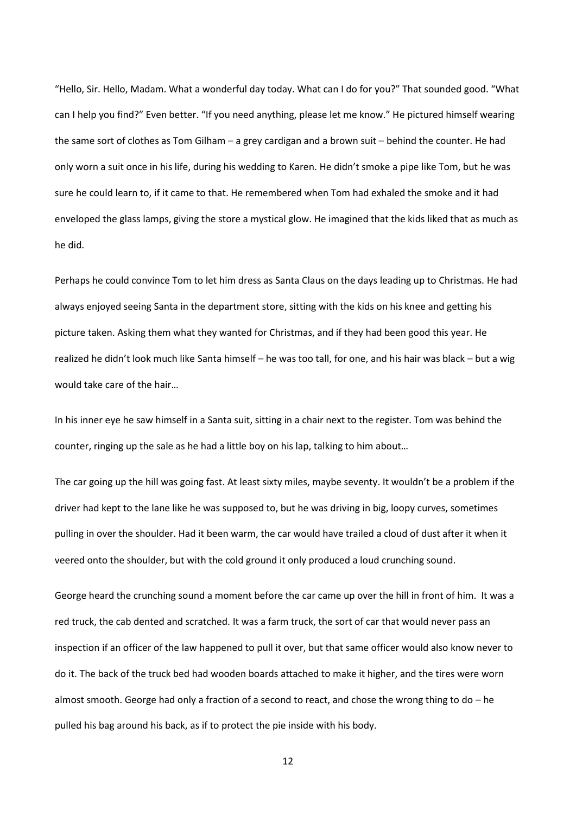"Hello, Sir. Hello, Madam. What a wonderful day today. What can I do for you?" That sounded good. "What can I help you find?" Even better. "If you need anything, please let me know." He pictured himself wearing the same sort of clothes as Tom Gilham – a grey cardigan and a brown suit – behind the counter. He had only worn a suit once in his life, during his wedding to Karen. He didn't smoke a pipe like Tom, but he was sure he could learn to, if it came to that. He remembered when Tom had exhaled the smoke and it had enveloped the glass lamps, giving the store a mystical glow. He imagined that the kids liked that as much as he did.

Perhaps he could convince Tom to let him dress as Santa Claus on the days leading up to Christmas. He had always enjoyed seeing Santa in the department store, sitting with the kids on his knee and getting his picture taken. Asking them what they wanted for Christmas, and if they had been good this year. He realized he didn't look much like Santa himself – he was too tall, for one, and his hair was black – but a wig would take care of the hair…

In his inner eye he saw himself in a Santa suit, sitting in a chair next to the register. Tom was behind the counter, ringing up the sale as he had a little boy on his lap, talking to him about…

The car going up the hill was going fast. At least sixty miles, maybe seventy. It wouldn't be a problem if the driver had kept to the lane like he was supposed to, but he was driving in big, loopy curves, sometimes pulling in over the shoulder. Had it been warm, the car would have trailed a cloud of dust after it when it veered onto the shoulder, but with the cold ground it only produced a loud crunching sound.

George heard the crunching sound a moment before the car came up over the hill in front of him. It was a red truck, the cab dented and scratched. It was a farm truck, the sort of car that would never pass an inspection if an officer of the law happened to pull it over, but that same officer would also know never to do it. The back of the truck bed had wooden boards attached to make it higher, and the tires were worn almost smooth. George had only a fraction of a second to react, and chose the wrong thing to do – he pulled his bag around his back, as if to protect the pie inside with his body.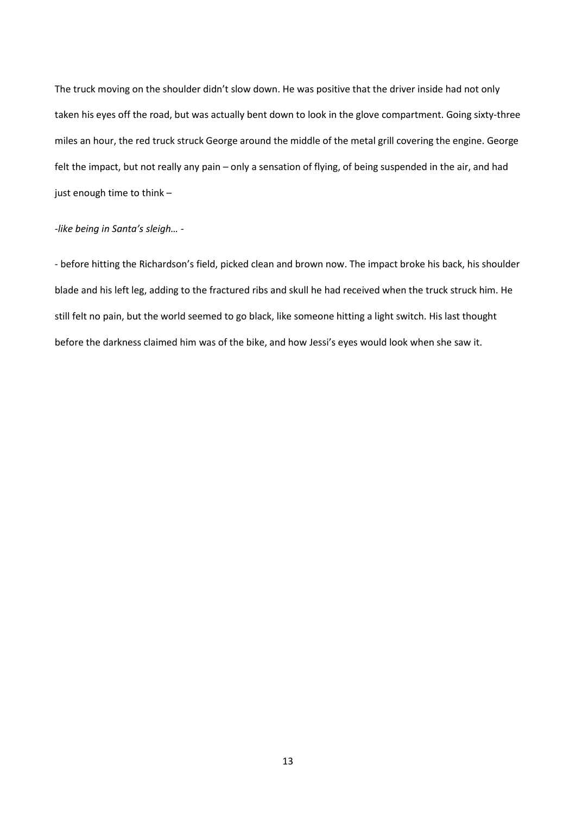The truck moving on the shoulder didn't slow down. He was positive that the driver inside had not only taken his eyes off the road, but was actually bent down to look in the glove compartment. Going sixty-three miles an hour, the red truck struck George around the middle of the metal grill covering the engine. George felt the impact, but not really any pain – only a sensation of flying, of being suspended in the air, and had just enough time to think –

## *-like being in Santa's sleigh… -*

- before hitting the Richardson's field, picked clean and brown now. The impact broke his back, his shoulder blade and his left leg, adding to the fractured ribs and skull he had received when the truck struck him. He still felt no pain, but the world seemed to go black, like someone hitting a light switch. His last thought before the darkness claimed him was of the bike, and how Jessi's eyes would look when she saw it.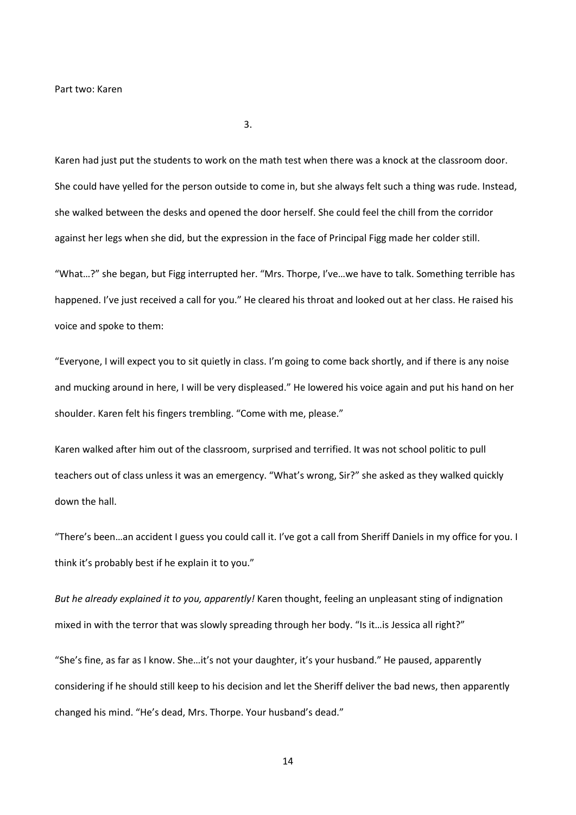3.

Karen had just put the students to work on the math test when there was a knock at the classroom door. She could have yelled for the person outside to come in, but she always felt such a thing was rude. Instead, she walked between the desks and opened the door herself. She could feel the chill from the corridor against her legs when she did, but the expression in the face of Principal Figg made her colder still.

"What…?" she began, but Figg interrupted her. "Mrs. Thorpe, I've…we have to talk. Something terrible has happened. I've just received a call for you." He cleared his throat and looked out at her class. He raised his voice and spoke to them:

"Everyone, I will expect you to sit quietly in class. I'm going to come back shortly, and if there is any noise and mucking around in here, I will be very displeased." He lowered his voice again and put his hand on her shoulder. Karen felt his fingers trembling. "Come with me, please."

Karen walked after him out of the classroom, surprised and terrified. It was not school politic to pull teachers out of class unless it was an emergency. "What's wrong, Sir?" she asked as they walked quickly down the hall.

"There's been…an accident I guess you could call it. I've got a call from Sheriff Daniels in my office for you. I think it's probably best if he explain it to you."

*But he already explained it to you, apparently!* Karen thought, feeling an unpleasant sting of indignation mixed in with the terror that was slowly spreading through her body. "Is it... is Jessica all right?"

"She's fine, as far as I know. She…it's not your daughter, it's your husband." He paused, apparently considering if he should still keep to his decision and let the Sheriff deliver the bad news, then apparently changed his mind. "He's dead, Mrs. Thorpe. Your husband's dead."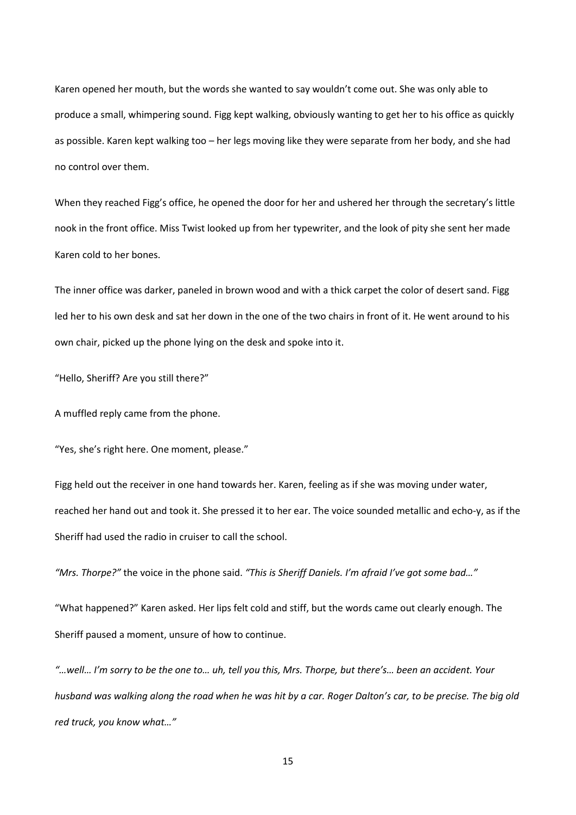Karen opened her mouth, but the words she wanted to say wouldn't come out. She was only able to produce a small, whimpering sound. Figg kept walking, obviously wanting to get her to his office as quickly as possible. Karen kept walking too – her legs moving like they were separate from her body, and she had no control over them.

When they reached Figg's office, he opened the door for her and ushered her through the secretary's little nook in the front office. Miss Twist looked up from her typewriter, and the look of pity she sent her made Karen cold to her bones.

The inner office was darker, paneled in brown wood and with a thick carpet the color of desert sand. Figg led her to his own desk and sat her down in the one of the two chairs in front of it. He went around to his own chair, picked up the phone lying on the desk and spoke into it.

"Hello, Sheriff? Are you still there?"

A muffled reply came from the phone.

"Yes, she's right here. One moment, please."

Figg held out the receiver in one hand towards her. Karen, feeling as if she was moving under water, reached her hand out and took it. She pressed it to her ear. The voice sounded metallic and echo-y, as if the Sheriff had used the radio in cruiser to call the school.

*"Mrs. Thorpe?"* the voice in the phone said. *"This is Sheriff Daniels. I'm afraid I've got some bad…"*

"What happened?" Karen asked. Her lips felt cold and stiff, but the words came out clearly enough. The Sheriff paused a moment, unsure of how to continue.

*"…well… I'm sorry to be the one to… uh, tell you this, Mrs. Thorpe, but there's… been an accident. Your husband was walking along the road when he was hit by a car. Roger Dalton's car, to be precise. The big old red truck, you know what…"*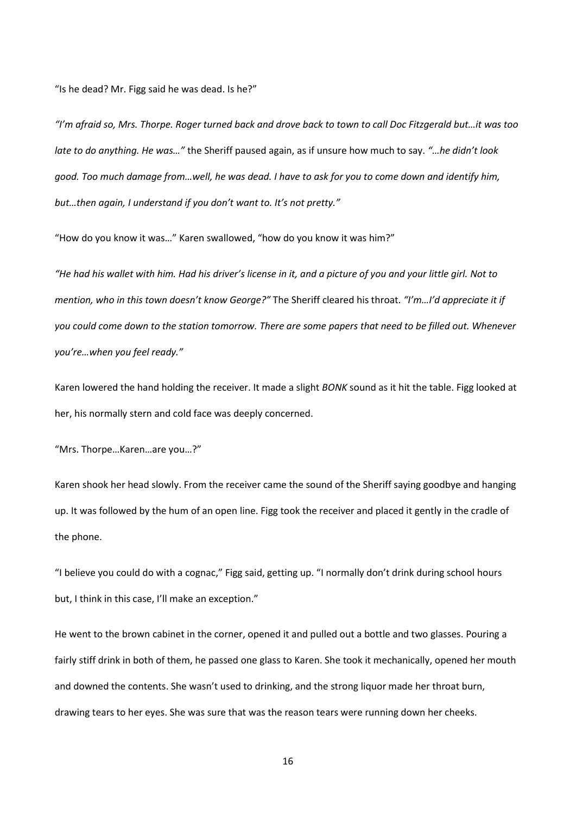"Is he dead? Mr. Figg said he was dead. Is he?"

*"I'm afraid so, Mrs. Thorpe. Roger turned back and drove back to town to call Doc Fitzgerald but…it was too late to do anything. He was…"* the Sheriff paused again, as if unsure how much to say. *"…he didn't look good. Too much damage from…well, he was dead. I have to ask for you to come down and identify him, but…then again, I understand if you don't want to. It's not pretty."*

"How do you know it was…" Karen swallowed, "how do you know it was him?"

*"He had his wallet with him. Had his driver's license in it, and a picture of you and your little girl. Not to mention, who in this town doesn't know George?"* The Sheriff cleared his throat. *"I'm…I'd appreciate it if you could come down to the station tomorrow. There are some papers that need to be filled out. Whenever you're…when you feel ready."*

Karen lowered the hand holding the receiver. It made a slight *BONK* sound as it hit the table. Figg looked at her, his normally stern and cold face was deeply concerned.

"Mrs. Thorpe…Karen…are you…?"

Karen shook her head slowly. From the receiver came the sound of the Sheriff saying goodbye and hanging up. It was followed by the hum of an open line. Figg took the receiver and placed it gently in the cradle of the phone.

"I believe you could do with a cognac," Figg said, getting up. "I normally don't drink during school hours but, I think in this case, I'll make an exception."

He went to the brown cabinet in the corner, opened it and pulled out a bottle and two glasses. Pouring a fairly stiff drink in both of them, he passed one glass to Karen. She took it mechanically, opened her mouth and downed the contents. She wasn't used to drinking, and the strong liquor made her throat burn, drawing tears to her eyes. She was sure that was the reason tears were running down her cheeks.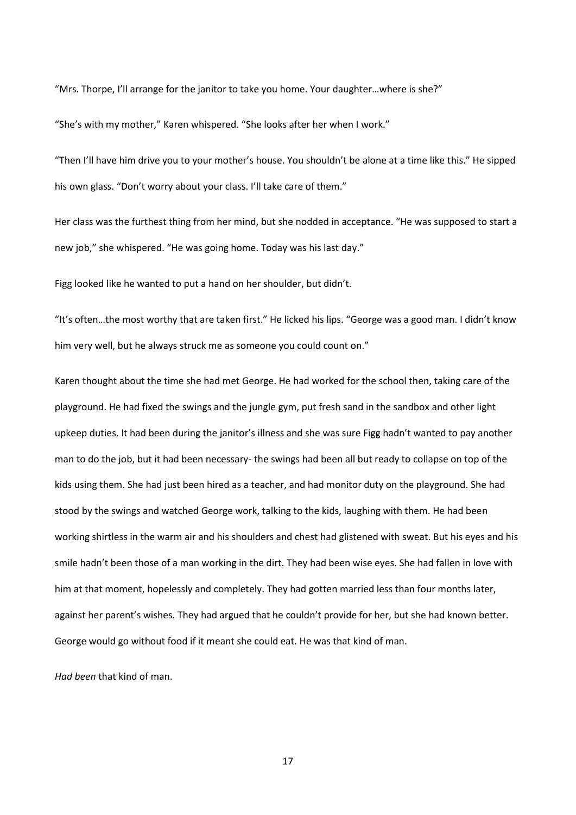"Mrs. Thorpe, I'll arrange for the janitor to take you home. Your daughter…where is she?"

"She's with my mother," Karen whispered. "She looks after her when I work."

"Then I'll have him drive you to your mother's house. You shouldn't be alone at a time like this." He sipped his own glass. "Don't worry about your class. I'll take care of them."

Her class was the furthest thing from her mind, but she nodded in acceptance. "He was supposed to start a new job," she whispered. "He was going home. Today was his last day."

Figg looked like he wanted to put a hand on her shoulder, but didn't.

"It's often…the most worthy that are taken first." He licked his lips. "George was a good man. I didn't know him very well, but he always struck me as someone you could count on."

Karen thought about the time she had met George. He had worked for the school then, taking care of the playground. He had fixed the swings and the jungle gym, put fresh sand in the sandbox and other light upkeep duties. It had been during the janitor's illness and she was sure Figg hadn't wanted to pay another man to do the job, but it had been necessary- the swings had been all but ready to collapse on top of the kids using them. She had just been hired as a teacher, and had monitor duty on the playground. She had stood by the swings and watched George work, talking to the kids, laughing with them. He had been working shirtless in the warm air and his shoulders and chest had glistened with sweat. But his eyes and his smile hadn't been those of a man working in the dirt. They had been wise eyes. She had fallen in love with him at that moment, hopelessly and completely. They had gotten married less than four months later, against her parent's wishes. They had argued that he couldn't provide for her, but she had known better. George would go without food if it meant she could eat. He was that kind of man.

*Had been* that kind of man.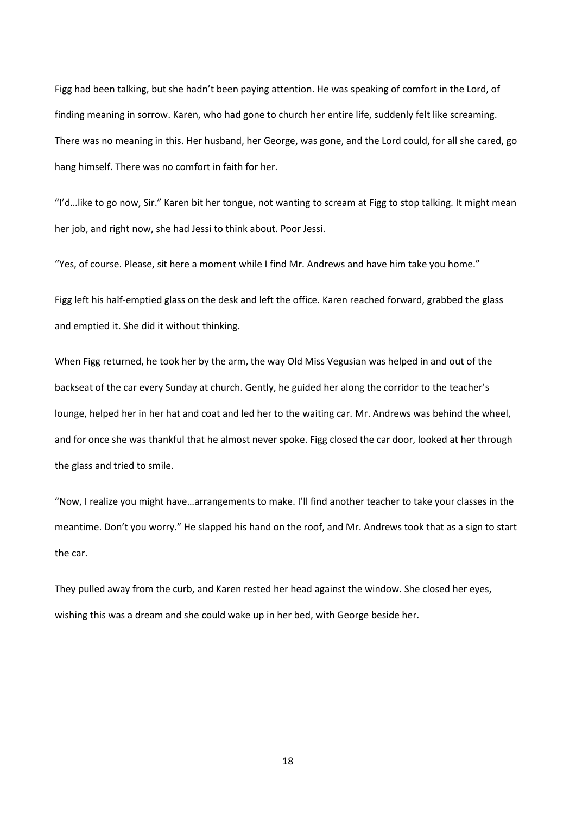Figg had been talking, but she hadn't been paying attention. He was speaking of comfort in the Lord, of finding meaning in sorrow. Karen, who had gone to church her entire life, suddenly felt like screaming. There was no meaning in this. Her husband, her George, was gone, and the Lord could, for all she cared, go hang himself. There was no comfort in faith for her.

"I'd…like to go now, Sir." Karen bit her tongue, not wanting to scream at Figg to stop talking. It might mean her job, and right now, she had Jessi to think about. Poor Jessi.

"Yes, of course. Please, sit here a moment while I find Mr. Andrews and have him take you home."

Figg left his half-emptied glass on the desk and left the office. Karen reached forward, grabbed the glass and emptied it. She did it without thinking.

When Figg returned, he took her by the arm, the way Old Miss Vegusian was helped in and out of the backseat of the car every Sunday at church. Gently, he guided her along the corridor to the teacher's lounge, helped her in her hat and coat and led her to the waiting car. Mr. Andrews was behind the wheel, and for once she was thankful that he almost never spoke. Figg closed the car door, looked at her through the glass and tried to smile.

"Now, I realize you might have…arrangements to make. I'll find another teacher to take your classes in the meantime. Don't you worry." He slapped his hand on the roof, and Mr. Andrews took that as a sign to start the car.

They pulled away from the curb, and Karen rested her head against the window. She closed her eyes, wishing this was a dream and she could wake up in her bed, with George beside her.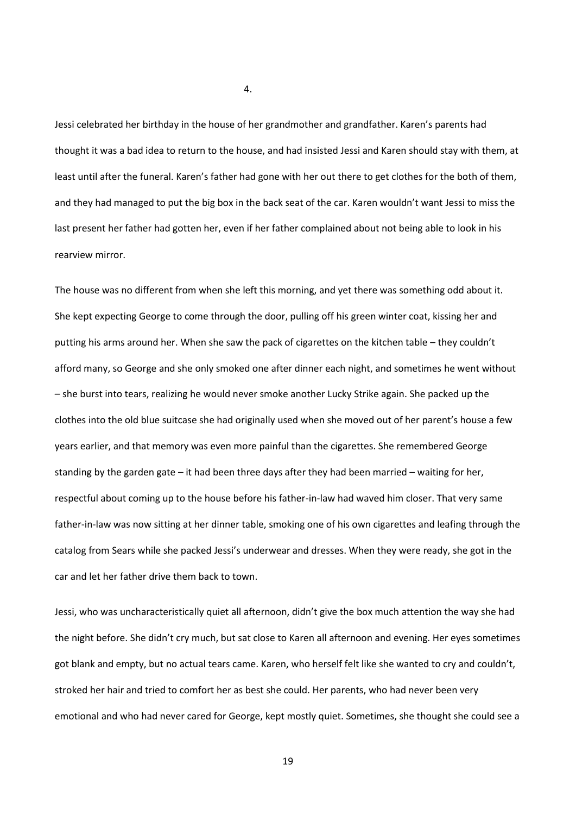Jessi celebrated her birthday in the house of her grandmother and grandfather. Karen's parents had thought it was a bad idea to return to the house, and had insisted Jessi and Karen should stay with them, at least until after the funeral. Karen's father had gone with her out there to get clothes for the both of them, and they had managed to put the big box in the back seat of the car. Karen wouldn't want Jessi to miss the last present her father had gotten her, even if her father complained about not being able to look in his rearview mirror.

The house was no different from when she left this morning, and yet there was something odd about it. She kept expecting George to come through the door, pulling off his green winter coat, kissing her and putting his arms around her. When she saw the pack of cigarettes on the kitchen table – they couldn't afford many, so George and she only smoked one after dinner each night, and sometimes he went without – she burst into tears, realizing he would never smoke another Lucky Strike again. She packed up the clothes into the old blue suitcase she had originally used when she moved out of her parent's house a few years earlier, and that memory was even more painful than the cigarettes. She remembered George standing by the garden gate – it had been three days after they had been married – waiting for her, respectful about coming up to the house before his father-in-law had waved him closer. That very same father-in-law was now sitting at her dinner table, smoking one of his own cigarettes and leafing through the catalog from Sears while she packed Jessi's underwear and dresses. When they were ready, she got in the car and let her father drive them back to town.

Jessi, who was uncharacteristically quiet all afternoon, didn't give the box much attention the way she had the night before. She didn't cry much, but sat close to Karen all afternoon and evening. Her eyes sometimes got blank and empty, but no actual tears came. Karen, who herself felt like she wanted to cry and couldn't, stroked her hair and tried to comfort her as best she could. Her parents, who had never been very emotional and who had never cared for George, kept mostly quiet. Sometimes, she thought she could see a

4.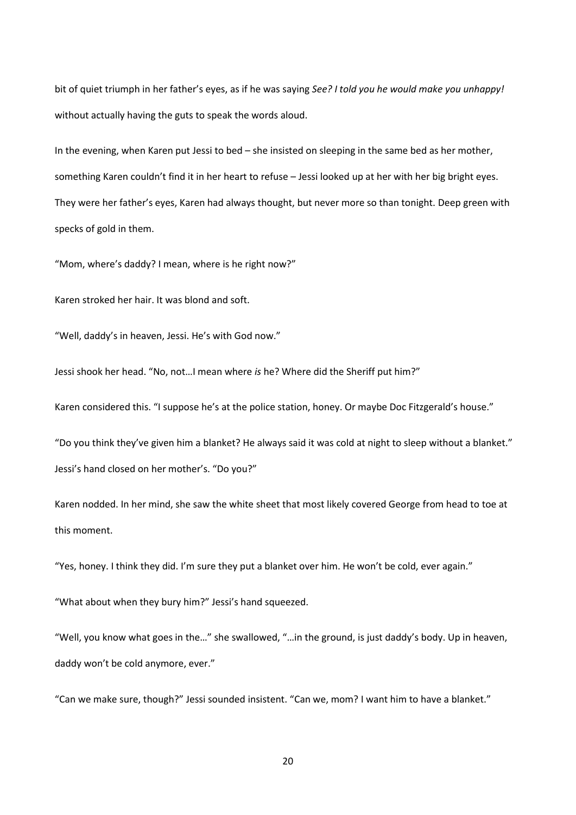bit of quiet triumph in her father's eyes, as if he was saying *See? I told you he would make you unhappy!* without actually having the guts to speak the words aloud.

In the evening, when Karen put Jessi to bed – she insisted on sleeping in the same bed as her mother, something Karen couldn't find it in her heart to refuse – Jessi looked up at her with her big bright eyes. They were her father's eyes, Karen had always thought, but never more so than tonight. Deep green with specks of gold in them.

"Mom, where's daddy? I mean, where is he right now?"

Karen stroked her hair. It was blond and soft.

"Well, daddy's in heaven, Jessi. He's with God now."

Jessi shook her head. "No, not…I mean where *is* he? Where did the Sheriff put him?"

Karen considered this. "I suppose he's at the police station, honey. Or maybe Doc Fitzgerald's house."

"Do you think they've given him a blanket? He always said it was cold at night to sleep without a blanket." Jessi's hand closed on her mother's. "Do you?"

Karen nodded. In her mind, she saw the white sheet that most likely covered George from head to toe at this moment.

"Yes, honey. I think they did. I'm sure they put a blanket over him. He won't be cold, ever again."

"What about when they bury him?" Jessi's hand squeezed.

"Well, you know what goes in the…" she swallowed, "…in the ground, is just daddy's body. Up in heaven, daddy won't be cold anymore, ever."

"Can we make sure, though?" Jessi sounded insistent. "Can we, mom? I want him to have a blanket."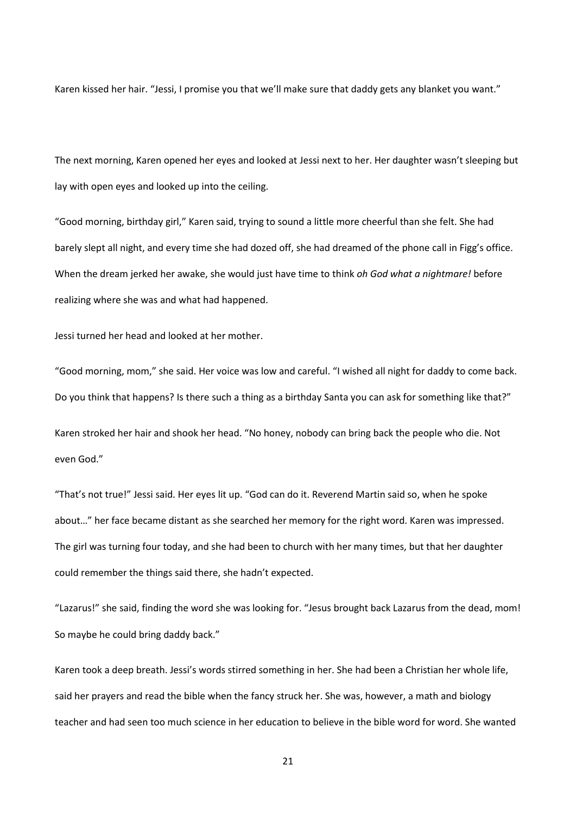Karen kissed her hair. "Jessi, I promise you that we'll make sure that daddy gets any blanket you want."

The next morning, Karen opened her eyes and looked at Jessi next to her. Her daughter wasn't sleeping but lay with open eyes and looked up into the ceiling.

"Good morning, birthday girl," Karen said, trying to sound a little more cheerful than she felt. She had barely slept all night, and every time she had dozed off, she had dreamed of the phone call in Figg's office. When the dream jerked her awake, she would just have time to think *oh God what a nightmare!* before realizing where she was and what had happened.

Jessi turned her head and looked at her mother.

"Good morning, mom," she said. Her voice was low and careful. "I wished all night for daddy to come back. Do you think that happens? Is there such a thing as a birthday Santa you can ask for something like that?" Karen stroked her hair and shook her head. "No honey, nobody can bring back the people who die. Not even God."

"That's not true!" Jessi said. Her eyes lit up. "God can do it. Reverend Martin said so, when he spoke about…" her face became distant as she searched her memory for the right word. Karen was impressed. The girl was turning four today, and she had been to church with her many times, but that her daughter could remember the things said there, she hadn't expected.

"Lazarus!" she said, finding the word she was looking for. "Jesus brought back Lazarus from the dead, mom! So maybe he could bring daddy back."

Karen took a deep breath. Jessi's words stirred something in her. She had been a Christian her whole life, said her prayers and read the bible when the fancy struck her. She was, however, a math and biology teacher and had seen too much science in her education to believe in the bible word for word. She wanted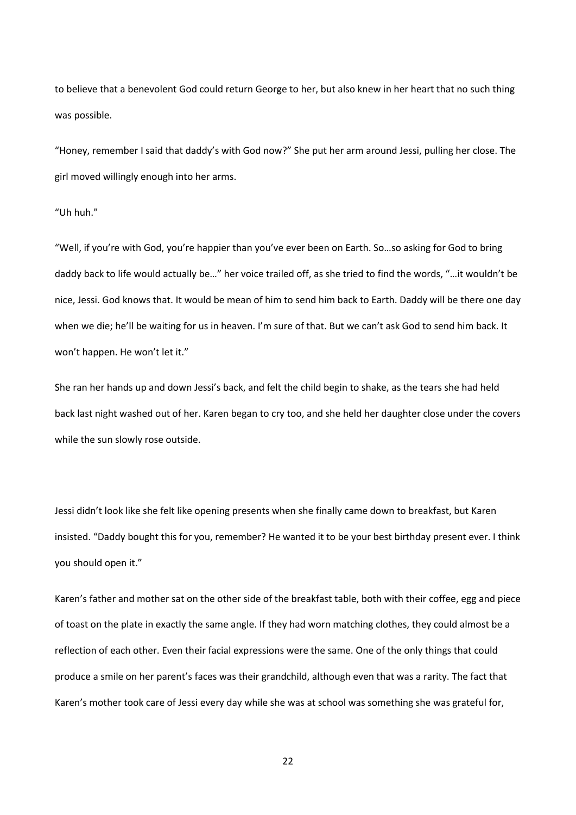to believe that a benevolent God could return George to her, but also knew in her heart that no such thing was possible.

"Honey, remember I said that daddy's with God now?" She put her arm around Jessi, pulling her close. The girl moved willingly enough into her arms.

"Uh huh."

"Well, if you're with God, you're happier than you've ever been on Earth. So…so asking for God to bring daddy back to life would actually be…" her voice trailed off, as she tried to find the words, "…it wouldn't be nice, Jessi. God knows that. It would be mean of him to send him back to Earth. Daddy will be there one day when we die; he'll be waiting for us in heaven. I'm sure of that. But we can't ask God to send him back. It won't happen. He won't let it."

She ran her hands up and down Jessi's back, and felt the child begin to shake, as the tears she had held back last night washed out of her. Karen began to cry too, and she held her daughter close under the covers while the sun slowly rose outside.

Jessi didn't look like she felt like opening presents when she finally came down to breakfast, but Karen insisted. "Daddy bought this for you, remember? He wanted it to be your best birthday present ever. I think you should open it."

Karen's father and mother sat on the other side of the breakfast table, both with their coffee, egg and piece of toast on the plate in exactly the same angle. If they had worn matching clothes, they could almost be a reflection of each other. Even their facial expressions were the same. One of the only things that could produce a smile on her parent's faces was their grandchild, although even that was a rarity. The fact that Karen's mother took care of Jessi every day while she was at school was something she was grateful for,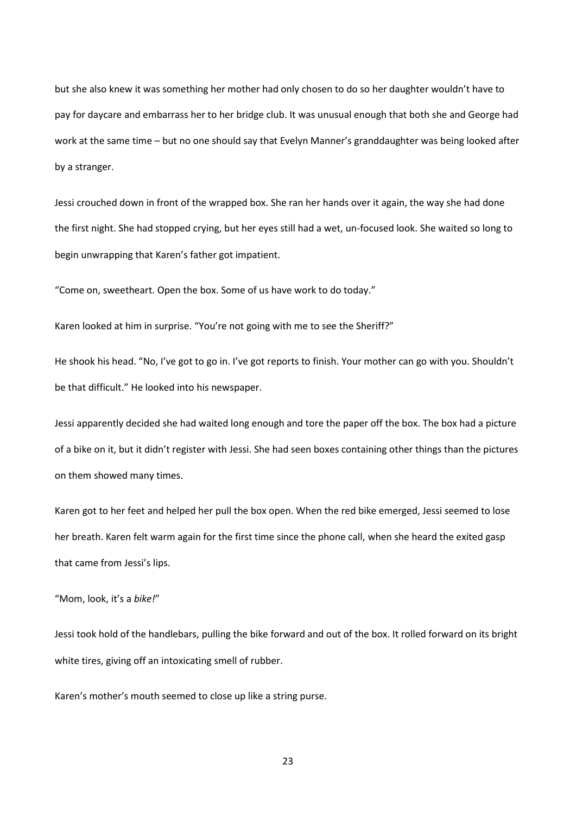but she also knew it was something her mother had only chosen to do so her daughter wouldn't have to pay for daycare and embarrass her to her bridge club. It was unusual enough that both she and George had work at the same time – but no one should say that Evelyn Manner's granddaughter was being looked after by a stranger.

Jessi crouched down in front of the wrapped box. She ran her hands over it again, the way she had done the first night. She had stopped crying, but her eyes still had a wet, un-focused look. She waited so long to begin unwrapping that Karen's father got impatient.

"Come on, sweetheart. Open the box. Some of us have work to do today."

Karen looked at him in surprise. "You're not going with me to see the Sheriff?"

He shook his head. "No, I've got to go in. I've got reports to finish. Your mother can go with you. Shouldn't be that difficult." He looked into his newspaper.

Jessi apparently decided she had waited long enough and tore the paper off the box. The box had a picture of a bike on it, but it didn't register with Jessi. She had seen boxes containing other things than the pictures on them showed many times.

Karen got to her feet and helped her pull the box open. When the red bike emerged, Jessi seemed to lose her breath. Karen felt warm again for the first time since the phone call, when she heard the exited gasp that came from Jessi's lips.

# "Mom, look, it's a *bike!*"

Jessi took hold of the handlebars, pulling the bike forward and out of the box. It rolled forward on its bright white tires, giving off an intoxicating smell of rubber.

Karen's mother's mouth seemed to close up like a string purse.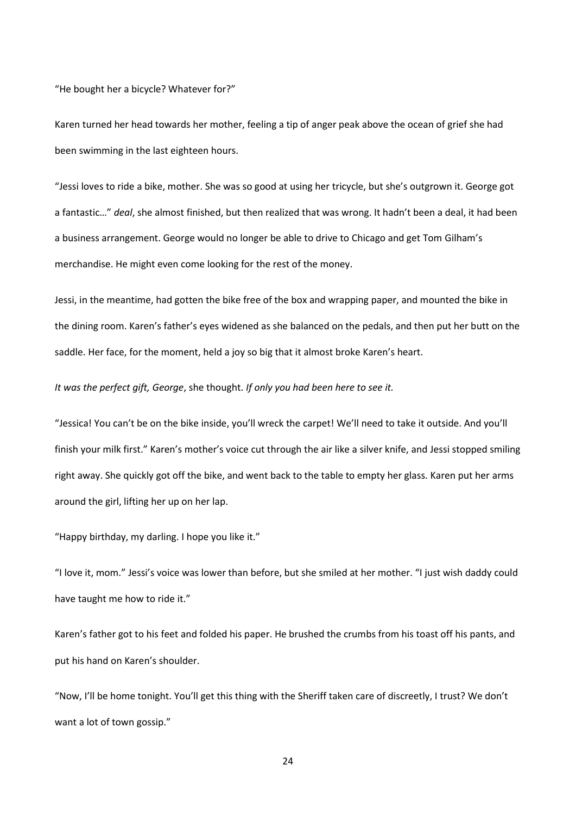"He bought her a bicycle? Whatever for?"

Karen turned her head towards her mother, feeling a tip of anger peak above the ocean of grief she had been swimming in the last eighteen hours.

"Jessi loves to ride a bike, mother. She was so good at using her tricycle, but she's outgrown it. George got a fantastic…" *deal*, she almost finished, but then realized that was wrong. It hadn't been a deal, it had been a business arrangement. George would no longer be able to drive to Chicago and get Tom Gilham's merchandise. He might even come looking for the rest of the money.

Jessi, in the meantime, had gotten the bike free of the box and wrapping paper, and mounted the bike in the dining room. Karen's father's eyes widened as she balanced on the pedals, and then put her butt on the saddle. Her face, for the moment, held a joy so big that it almost broke Karen's heart.

*It was the perfect gift, George*, she thought. *If only you had been here to see it.*

"Jessica! You can't be on the bike inside, you'll wreck the carpet! We'll need to take it outside. And you'll finish your milk first." Karen's mother's voice cut through the air like a silver knife, and Jessi stopped smiling right away. She quickly got off the bike, and went back to the table to empty her glass. Karen put her arms around the girl, lifting her up on her lap.

"Happy birthday, my darling. I hope you like it."

"I love it, mom." Jessi's voice was lower than before, but she smiled at her mother. "I just wish daddy could have taught me how to ride it."

Karen's father got to his feet and folded his paper. He brushed the crumbs from his toast off his pants, and put his hand on Karen's shoulder.

"Now, I'll be home tonight. You'll get this thing with the Sheriff taken care of discreetly, I trust? We don't want a lot of town gossip."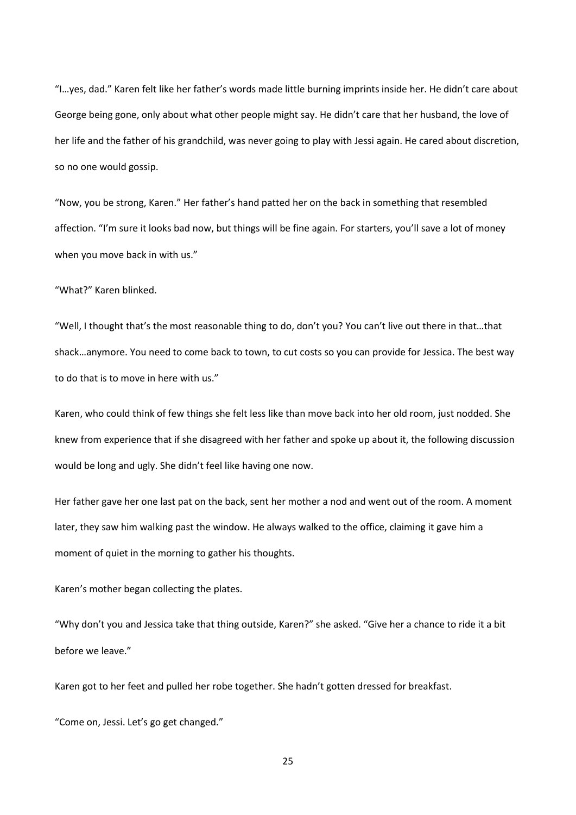"I…yes, dad." Karen felt like her father's words made little burning imprints inside her. He didn't care about George being gone, only about what other people might say. He didn't care that her husband, the love of her life and the father of his grandchild, was never going to play with Jessi again. He cared about discretion, so no one would gossip.

"Now, you be strong, Karen." Her father's hand patted her on the back in something that resembled affection. "I'm sure it looks bad now, but things will be fine again. For starters, you'll save a lot of money when you move back in with us."

"What?" Karen blinked.

"Well, I thought that's the most reasonable thing to do, don't you? You can't live out there in that…that shack…anymore. You need to come back to town, to cut costs so you can provide for Jessica. The best way to do that is to move in here with us."

Karen, who could think of few things she felt less like than move back into her old room, just nodded. She knew from experience that if she disagreed with her father and spoke up about it, the following discussion would be long and ugly. She didn't feel like having one now.

Her father gave her one last pat on the back, sent her mother a nod and went out of the room. A moment later, they saw him walking past the window. He always walked to the office, claiming it gave him a moment of quiet in the morning to gather his thoughts.

Karen's mother began collecting the plates.

"Why don't you and Jessica take that thing outside, Karen?" she asked. "Give her a chance to ride it a bit before we leave."

Karen got to her feet and pulled her robe together. She hadn't gotten dressed for breakfast.

"Come on, Jessi. Let's go get changed."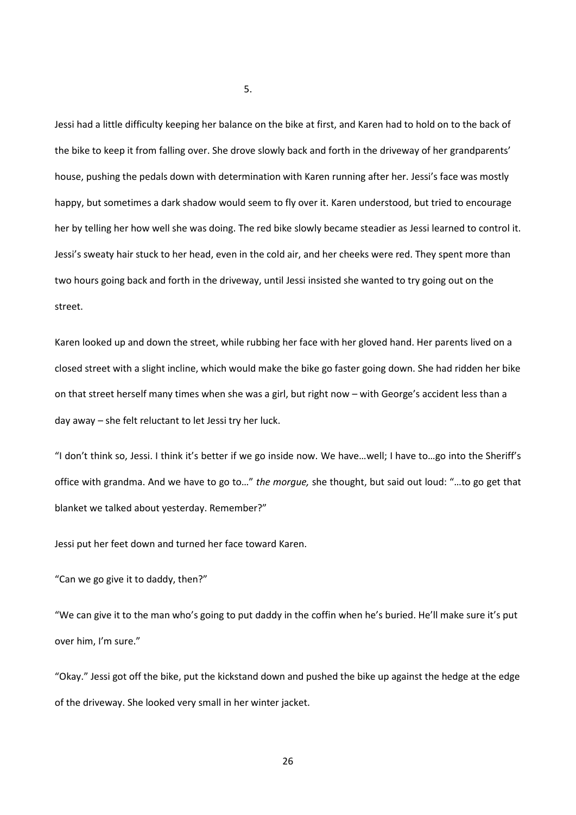Jessi had a little difficulty keeping her balance on the bike at first, and Karen had to hold on to the back of the bike to keep it from falling over. She drove slowly back and forth in the driveway of her grandparents' house, pushing the pedals down with determination with Karen running after her. Jessi's face was mostly happy, but sometimes a dark shadow would seem to fly over it. Karen understood, but tried to encourage her by telling her how well she was doing. The red bike slowly became steadier as Jessi learned to control it. Jessi's sweaty hair stuck to her head, even in the cold air, and her cheeks were red. They spent more than two hours going back and forth in the driveway, until Jessi insisted she wanted to try going out on the street.

Karen looked up and down the street, while rubbing her face with her gloved hand. Her parents lived on a closed street with a slight incline, which would make the bike go faster going down. She had ridden her bike on that street herself many times when she was a girl, but right now – with George's accident less than a day away – she felt reluctant to let Jessi try her luck.

"I don't think so, Jessi. I think it's better if we go inside now. We have…well; I have to…go into the Sheriff's office with grandma. And we have to go to…" *the morgue,* she thought, but said out loud: "…to go get that blanket we talked about yesterday. Remember?"

Jessi put her feet down and turned her face toward Karen.

"Can we go give it to daddy, then?"

"We can give it to the man who's going to put daddy in the coffin when he's buried. He'll make sure it's put over him, I'm sure."

"Okay." Jessi got off the bike, put the kickstand down and pushed the bike up against the hedge at the edge of the driveway. She looked very small in her winter jacket.

5.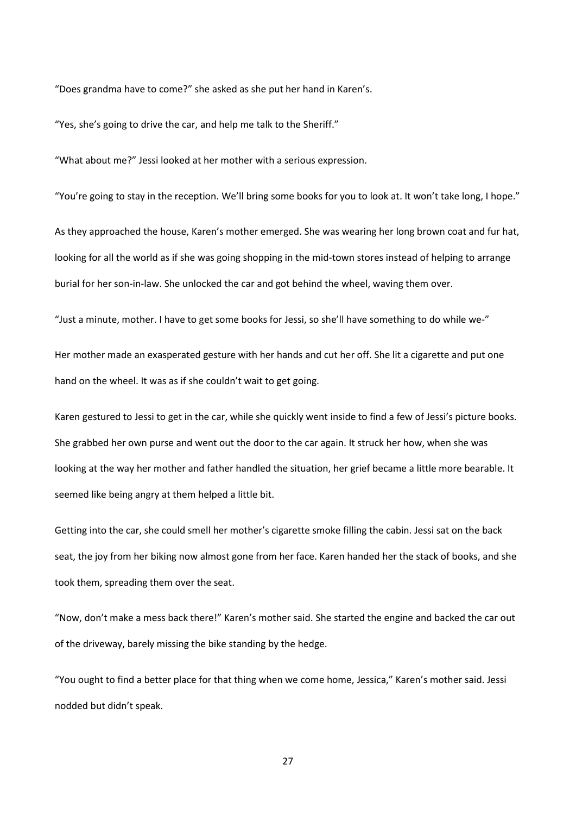"Does grandma have to come?" she asked as she put her hand in Karen's.

"Yes, she's going to drive the car, and help me talk to the Sheriff."

"What about me?" Jessi looked at her mother with a serious expression.

"You're going to stay in the reception. We'll bring some books for you to look at. It won't take long, I hope."

As they approached the house, Karen's mother emerged. She was wearing her long brown coat and fur hat, looking for all the world as if she was going shopping in the mid-town stores instead of helping to arrange burial for her son-in-law. She unlocked the car and got behind the wheel, waving them over.

"Just a minute, mother. I have to get some books for Jessi, so she'll have something to do while we-"

Her mother made an exasperated gesture with her hands and cut her off. She lit a cigarette and put one hand on the wheel. It was as if she couldn't wait to get going.

Karen gestured to Jessi to get in the car, while she quickly went inside to find a few of Jessi's picture books. She grabbed her own purse and went out the door to the car again. It struck her how, when she was looking at the way her mother and father handled the situation, her grief became a little more bearable. It seemed like being angry at them helped a little bit.

Getting into the car, she could smell her mother's cigarette smoke filling the cabin. Jessi sat on the back seat, the joy from her biking now almost gone from her face. Karen handed her the stack of books, and she took them, spreading them over the seat.

"Now, don't make a mess back there!" Karen's mother said. She started the engine and backed the car out of the driveway, barely missing the bike standing by the hedge.

"You ought to find a better place for that thing when we come home, Jessica," Karen's mother said. Jessi nodded but didn't speak.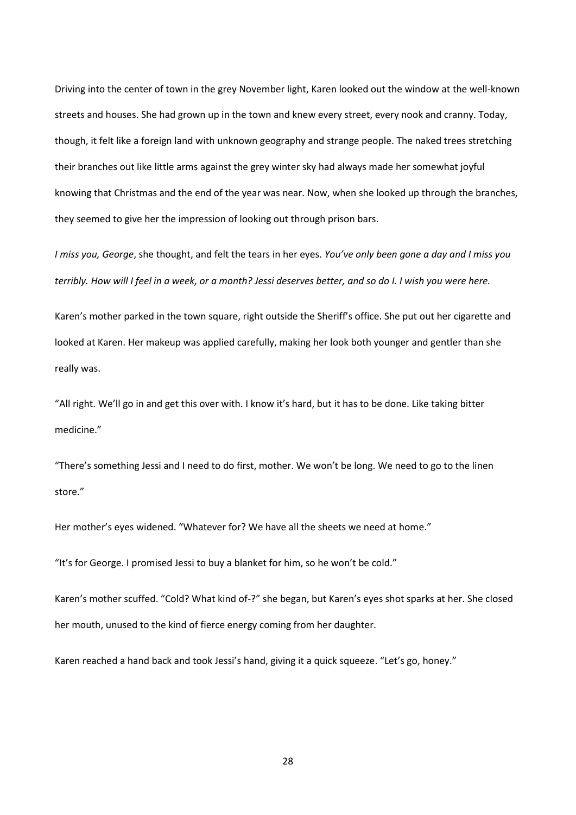Driving into the center of town in the grey November light, Karen looked out the window at the well-known streets and houses. She had grown up in the town and knew every street, every nook and cranny. Today, though, it felt like a foreign land with unknown geography and strange people. The naked trees stretching their branches out like little arms against the grey winter sky had always made her somewhat joyful knowing that Christmas and the end of the year was near. Now, when she looked up through the branches, they seemed to give her the impression of looking out through prison bars.

*I miss you, George*, she thought, and felt the tears in her eyes. *You've only been gone a day and I miss you terribly. How will I feel in a week, or a month? Jessi deserves better, and so do I. I wish you were here.*

Karen's mother parked in the town square, right outside the Sheriff's office. She put out her cigarette and looked at Karen. Her makeup was applied carefully, making her look both younger and gentler than she really was.

"All right. We'll go in and get this over with. I know it's hard, but it has to be done. Like taking bitter medicine."

"There's something Jessi and I need to do first, mother. We won't be long. We need to go to the linen store."

Her mother's eyes widened. "Whatever for? We have all the sheets we need at home."

"It's for George. I promised Jessi to buy a blanket for him, so he won't be cold."

Karen's mother scuffed. "Cold? What kind of-?" she began, but Karen's eyes shot sparks at her. She closed her mouth, unused to the kind of fierce energy coming from her daughter.

Karen reached a hand back and took Jessi's hand, giving it a quick squeeze. "Let's go, honey."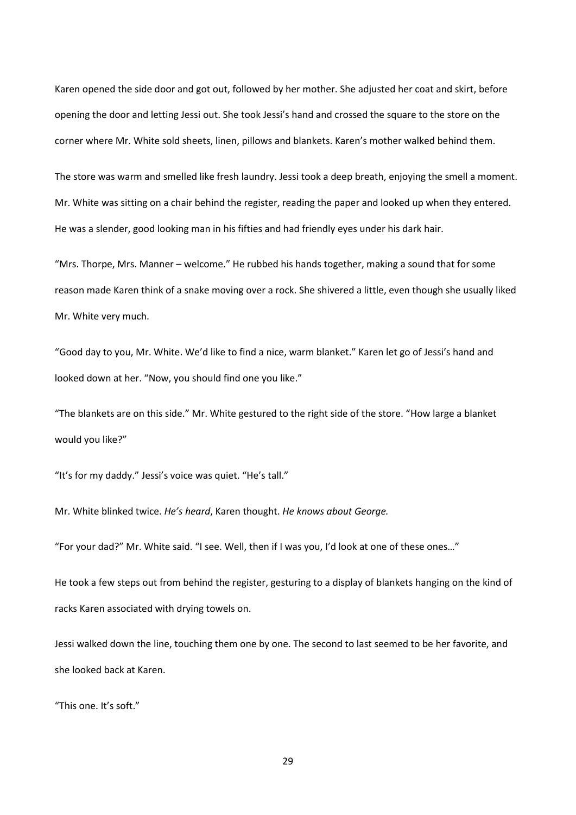Karen opened the side door and got out, followed by her mother. She adjusted her coat and skirt, before opening the door and letting Jessi out. She took Jessi's hand and crossed the square to the store on the corner where Mr. White sold sheets, linen, pillows and blankets. Karen's mother walked behind them.

The store was warm and smelled like fresh laundry. Jessi took a deep breath, enjoying the smell a moment. Mr. White was sitting on a chair behind the register, reading the paper and looked up when they entered. He was a slender, good looking man in his fifties and had friendly eyes under his dark hair.

"Mrs. Thorpe, Mrs. Manner – welcome." He rubbed his hands together, making a sound that for some reason made Karen think of a snake moving over a rock. She shivered a little, even though she usually liked Mr. White very much.

"Good day to you, Mr. White. We'd like to find a nice, warm blanket." Karen let go of Jessi's hand and looked down at her. "Now, you should find one you like."

"The blankets are on this side." Mr. White gestured to the right side of the store. "How large a blanket would you like?"

"It's for my daddy." Jessi's voice was quiet. "He's tall."

Mr. White blinked twice. *He's heard*, Karen thought. *He knows about George.*

"For your dad?" Mr. White said. "I see. Well, then if I was you, I'd look at one of these ones…"

He took a few steps out from behind the register, gesturing to a display of blankets hanging on the kind of racks Karen associated with drying towels on.

Jessi walked down the line, touching them one by one. The second to last seemed to be her favorite, and she looked back at Karen.

"This one. It's soft."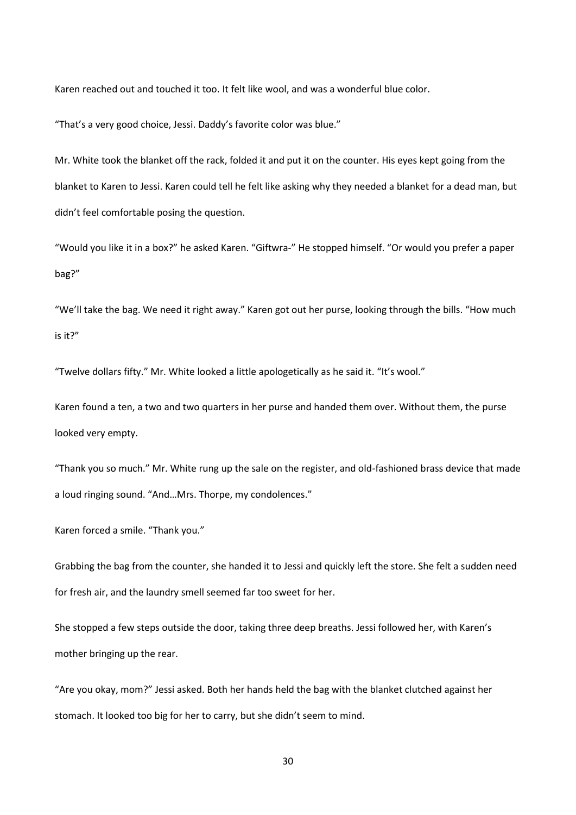Karen reached out and touched it too. It felt like wool, and was a wonderful blue color.

"That's a very good choice, Jessi. Daddy's favorite color was blue."

Mr. White took the blanket off the rack, folded it and put it on the counter. His eyes kept going from the blanket to Karen to Jessi. Karen could tell he felt like asking why they needed a blanket for a dead man, but didn't feel comfortable posing the question.

"Would you like it in a box?" he asked Karen. "Giftwra-" He stopped himself. "Or would you prefer a paper bag?"

"We'll take the bag. We need it right away." Karen got out her purse, looking through the bills. "How much is it?"

"Twelve dollars fifty." Mr. White looked a little apologetically as he said it. "It's wool."

Karen found a ten, a two and two quarters in her purse and handed them over. Without them, the purse looked very empty.

"Thank you so much." Mr. White rung up the sale on the register, and old-fashioned brass device that made a loud ringing sound. "And…Mrs. Thorpe, my condolences."

Karen forced a smile. "Thank you."

Grabbing the bag from the counter, she handed it to Jessi and quickly left the store. She felt a sudden need for fresh air, and the laundry smell seemed far too sweet for her.

She stopped a few steps outside the door, taking three deep breaths. Jessi followed her, with Karen's mother bringing up the rear.

"Are you okay, mom?" Jessi asked. Both her hands held the bag with the blanket clutched against her stomach. It looked too big for her to carry, but she didn't seem to mind.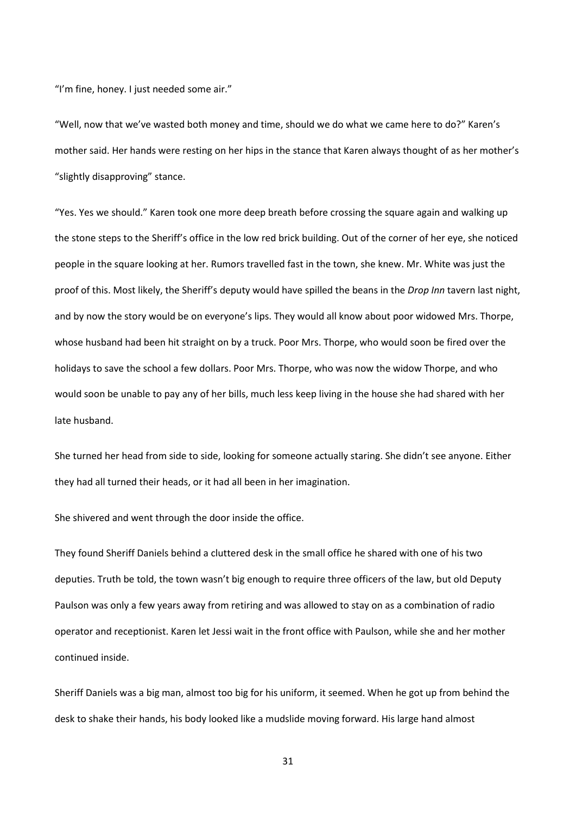"I'm fine, honey. I just needed some air."

"Well, now that we've wasted both money and time, should we do what we came here to do?" Karen's mother said. Her hands were resting on her hips in the stance that Karen always thought of as her mother's "slightly disapproving" stance.

"Yes. Yes we should." Karen took one more deep breath before crossing the square again and walking up the stone steps to the Sheriff's office in the low red brick building. Out of the corner of her eye, she noticed people in the square looking at her. Rumors travelled fast in the town, she knew. Mr. White was just the proof of this. Most likely, the Sheriff's deputy would have spilled the beans in the *Drop Inn* tavern last night, and by now the story would be on everyone's lips. They would all know about poor widowed Mrs. Thorpe, whose husband had been hit straight on by a truck. Poor Mrs. Thorpe, who would soon be fired over the holidays to save the school a few dollars. Poor Mrs. Thorpe, who was now the widow Thorpe, and who would soon be unable to pay any of her bills, much less keep living in the house she had shared with her late husband.

She turned her head from side to side, looking for someone actually staring. She didn't see anyone. Either they had all turned their heads, or it had all been in her imagination.

She shivered and went through the door inside the office.

They found Sheriff Daniels behind a cluttered desk in the small office he shared with one of his two deputies. Truth be told, the town wasn't big enough to require three officers of the law, but old Deputy Paulson was only a few years away from retiring and was allowed to stay on as a combination of radio operator and receptionist. Karen let Jessi wait in the front office with Paulson, while she and her mother continued inside.

Sheriff Daniels was a big man, almost too big for his uniform, it seemed. When he got up from behind the desk to shake their hands, his body looked like a mudslide moving forward. His large hand almost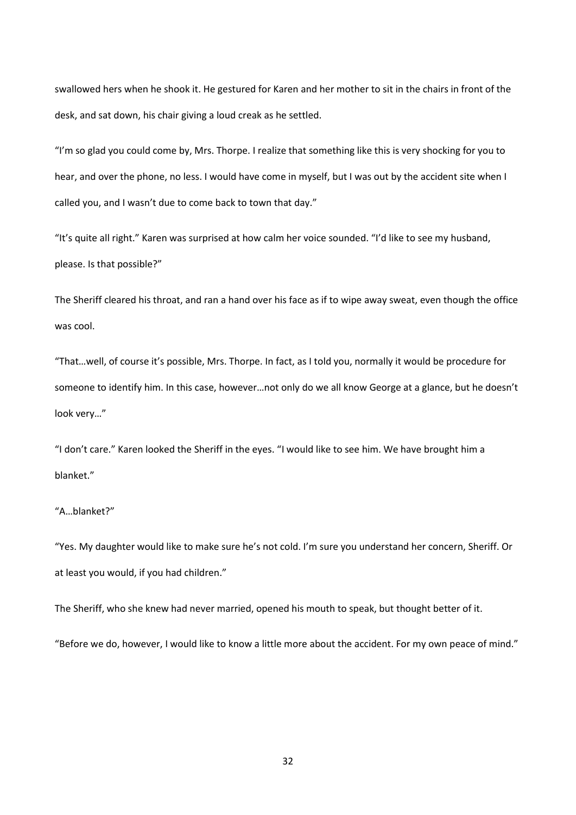swallowed hers when he shook it. He gestured for Karen and her mother to sit in the chairs in front of the desk, and sat down, his chair giving a loud creak as he settled.

"I'm so glad you could come by, Mrs. Thorpe. I realize that something like this is very shocking for you to hear, and over the phone, no less. I would have come in myself, but I was out by the accident site when I called you, and I wasn't due to come back to town that day."

"It's quite all right." Karen was surprised at how calm her voice sounded. "I'd like to see my husband, please. Is that possible?"

The Sheriff cleared his throat, and ran a hand over his face as if to wipe away sweat, even though the office was cool.

"That…well, of course it's possible, Mrs. Thorpe. In fact, as I told you, normally it would be procedure for someone to identify him. In this case, however…not only do we all know George at a glance, but he doesn't look very…"

"I don't care." Karen looked the Sheriff in the eyes. "I would like to see him. We have brought him a blanket."

## "A…blanket?"

"Yes. My daughter would like to make sure he's not cold. I'm sure you understand her concern, Sheriff. Or at least you would, if you had children."

The Sheriff, who she knew had never married, opened his mouth to speak, but thought better of it.

"Before we do, however, I would like to know a little more about the accident. For my own peace of mind."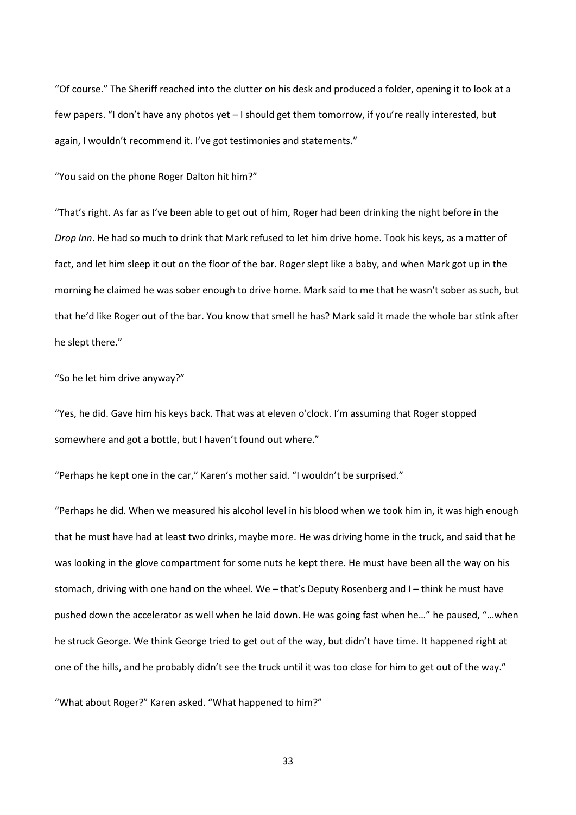"Of course." The Sheriff reached into the clutter on his desk and produced a folder, opening it to look at a few papers. "I don't have any photos yet – I should get them tomorrow, if you're really interested, but again, I wouldn't recommend it. I've got testimonies and statements."

"You said on the phone Roger Dalton hit him?"

"That's right. As far as I've been able to get out of him, Roger had been drinking the night before in the *Drop Inn*. He had so much to drink that Mark refused to let him drive home. Took his keys, as a matter of fact, and let him sleep it out on the floor of the bar. Roger slept like a baby, and when Mark got up in the morning he claimed he was sober enough to drive home. Mark said to me that he wasn't sober as such, but that he'd like Roger out of the bar. You know that smell he has? Mark said it made the whole bar stink after he slept there."

"So he let him drive anyway?"

"Yes, he did. Gave him his keys back. That was at eleven o'clock. I'm assuming that Roger stopped somewhere and got a bottle, but I haven't found out where."

"Perhaps he kept one in the car," Karen's mother said. "I wouldn't be surprised."

"Perhaps he did. When we measured his alcohol level in his blood when we took him in, it was high enough that he must have had at least two drinks, maybe more. He was driving home in the truck, and said that he was looking in the glove compartment for some nuts he kept there. He must have been all the way on his stomach, driving with one hand on the wheel. We – that's Deputy Rosenberg and I – think he must have pushed down the accelerator as well when he laid down. He was going fast when he…" he paused, "…when he struck George. We think George tried to get out of the way, but didn't have time. It happened right at one of the hills, and he probably didn't see the truck until it was too close for him to get out of the way."

"What about Roger?" Karen asked. "What happened to him?"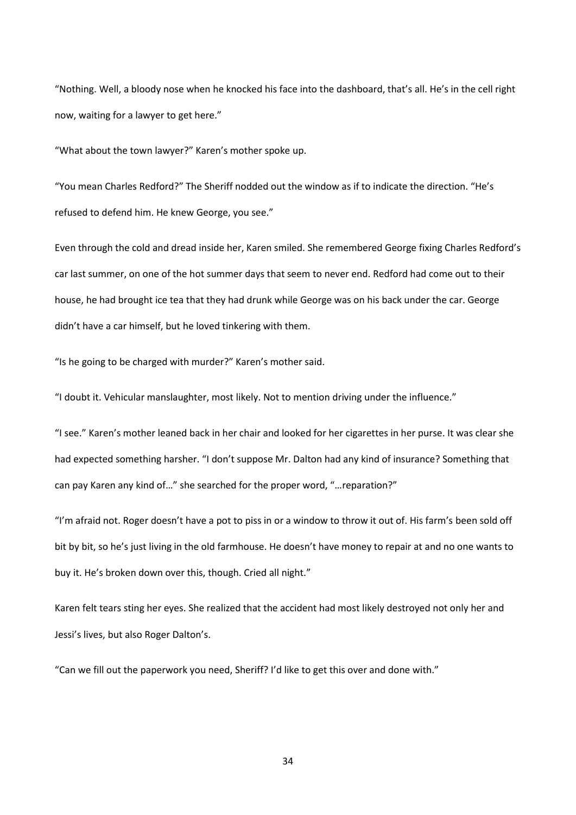"Nothing. Well, a bloody nose when he knocked his face into the dashboard, that's all. He's in the cell right now, waiting for a lawyer to get here."

"What about the town lawyer?" Karen's mother spoke up.

"You mean Charles Redford?" The Sheriff nodded out the window as if to indicate the direction. "He's refused to defend him. He knew George, you see."

Even through the cold and dread inside her, Karen smiled. She remembered George fixing Charles Redford's car last summer, on one of the hot summer days that seem to never end. Redford had come out to their house, he had brought ice tea that they had drunk while George was on his back under the car. George didn't have a car himself, but he loved tinkering with them.

"Is he going to be charged with murder?" Karen's mother said.

"I doubt it. Vehicular manslaughter, most likely. Not to mention driving under the influence."

"I see." Karen's mother leaned back in her chair and looked for her cigarettes in her purse. It was clear she had expected something harsher. "I don't suppose Mr. Dalton had any kind of insurance? Something that can pay Karen any kind of…" she searched for the proper word, "…reparation?"

"I'm afraid not. Roger doesn't have a pot to piss in or a window to throw it out of. His farm's been sold off bit by bit, so he's just living in the old farmhouse. He doesn't have money to repair at and no one wants to buy it. He's broken down over this, though. Cried all night."

Karen felt tears sting her eyes. She realized that the accident had most likely destroyed not only her and Jessi's lives, but also Roger Dalton's.

"Can we fill out the paperwork you need, Sheriff? I'd like to get this over and done with."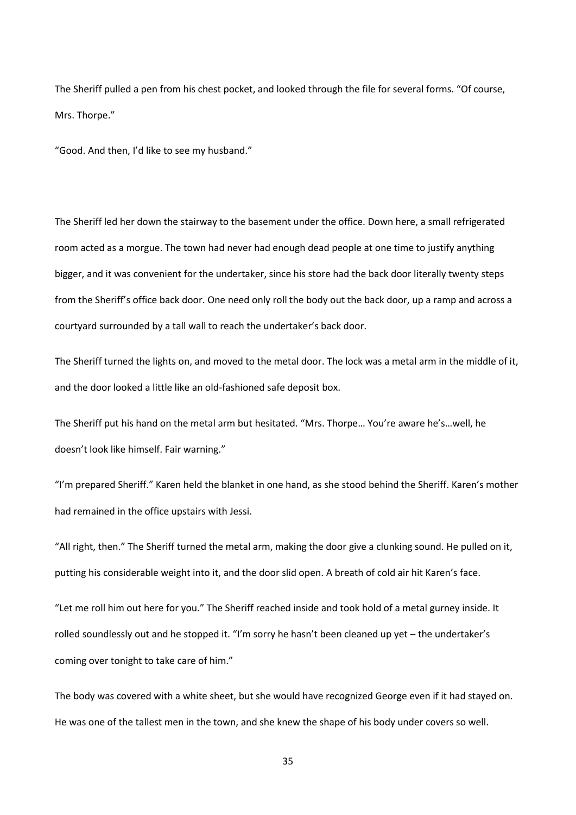The Sheriff pulled a pen from his chest pocket, and looked through the file for several forms. "Of course, Mrs. Thorpe."

"Good. And then, I'd like to see my husband."

The Sheriff led her down the stairway to the basement under the office. Down here, a small refrigerated room acted as a morgue. The town had never had enough dead people at one time to justify anything bigger, and it was convenient for the undertaker, since his store had the back door literally twenty steps from the Sheriff's office back door. One need only roll the body out the back door, up a ramp and across a courtyard surrounded by a tall wall to reach the undertaker's back door.

The Sheriff turned the lights on, and moved to the metal door. The lock was a metal arm in the middle of it, and the door looked a little like an old-fashioned safe deposit box.

The Sheriff put his hand on the metal arm but hesitated. "Mrs. Thorpe… You're aware he's…well, he doesn't look like himself. Fair warning."

"I'm prepared Sheriff." Karen held the blanket in one hand, as she stood behind the Sheriff. Karen's mother had remained in the office upstairs with Jessi.

"All right, then." The Sheriff turned the metal arm, making the door give a clunking sound. He pulled on it, putting his considerable weight into it, and the door slid open. A breath of cold air hit Karen's face.

"Let me roll him out here for you." The Sheriff reached inside and took hold of a metal gurney inside. It rolled soundlessly out and he stopped it. "I'm sorry he hasn't been cleaned up yet – the undertaker's coming over tonight to take care of him."

The body was covered with a white sheet, but she would have recognized George even if it had stayed on. He was one of the tallest men in the town, and she knew the shape of his body under covers so well.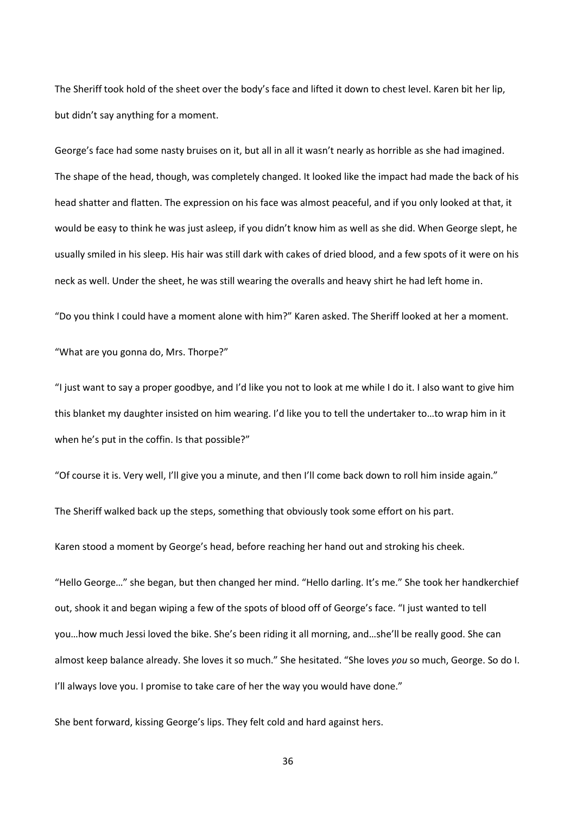The Sheriff took hold of the sheet over the body's face and lifted it down to chest level. Karen bit her lip, but didn't say anything for a moment.

George's face had some nasty bruises on it, but all in all it wasn't nearly as horrible as she had imagined. The shape of the head, though, was completely changed. It looked like the impact had made the back of his head shatter and flatten. The expression on his face was almost peaceful, and if you only looked at that, it would be easy to think he was just asleep, if you didn't know him as well as she did. When George slept, he usually smiled in his sleep. His hair was still dark with cakes of dried blood, and a few spots of it were on his neck as well. Under the sheet, he was still wearing the overalls and heavy shirt he had left home in.

"Do you think I could have a moment alone with him?" Karen asked. The Sheriff looked at her a moment.

"What are you gonna do, Mrs. Thorpe?"

"I just want to say a proper goodbye, and I'd like you not to look at me while I do it. I also want to give him this blanket my daughter insisted on him wearing. I'd like you to tell the undertaker to…to wrap him in it when he's put in the coffin. Is that possible?"

"Of course it is. Very well, I'll give you a minute, and then I'll come back down to roll him inside again."

The Sheriff walked back up the steps, something that obviously took some effort on his part.

Karen stood a moment by George's head, before reaching her hand out and stroking his cheek.

"Hello George…" she began, but then changed her mind. "Hello darling. It's me." She took her handkerchief out, shook it and began wiping a few of the spots of blood off of George's face. "I just wanted to tell you…how much Jessi loved the bike. She's been riding it all morning, and…she'll be really good. She can almost keep balance already. She loves it so much." She hesitated. "She loves *you* so much, George. So do I. I'll always love you. I promise to take care of her the way you would have done."

She bent forward, kissing George's lips. They felt cold and hard against hers.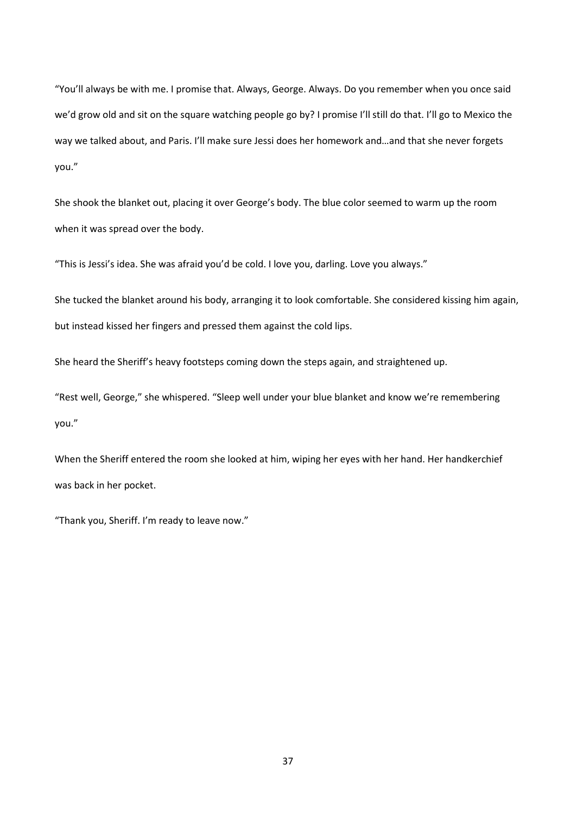"You'll always be with me. I promise that. Always, George. Always. Do you remember when you once said we'd grow old and sit on the square watching people go by? I promise I'll still do that. I'll go to Mexico the way we talked about, and Paris. I'll make sure Jessi does her homework and…and that she never forgets you."

She shook the blanket out, placing it over George's body. The blue color seemed to warm up the room when it was spread over the body.

"This is Jessi's idea. She was afraid you'd be cold. I love you, darling. Love you always."

She tucked the blanket around his body, arranging it to look comfortable. She considered kissing him again, but instead kissed her fingers and pressed them against the cold lips.

She heard the Sheriff's heavy footsteps coming down the steps again, and straightened up.

"Rest well, George," she whispered. "Sleep well under your blue blanket and know we're remembering you."

When the Sheriff entered the room she looked at him, wiping her eyes with her hand. Her handkerchief was back in her pocket.

"Thank you, Sheriff. I'm ready to leave now."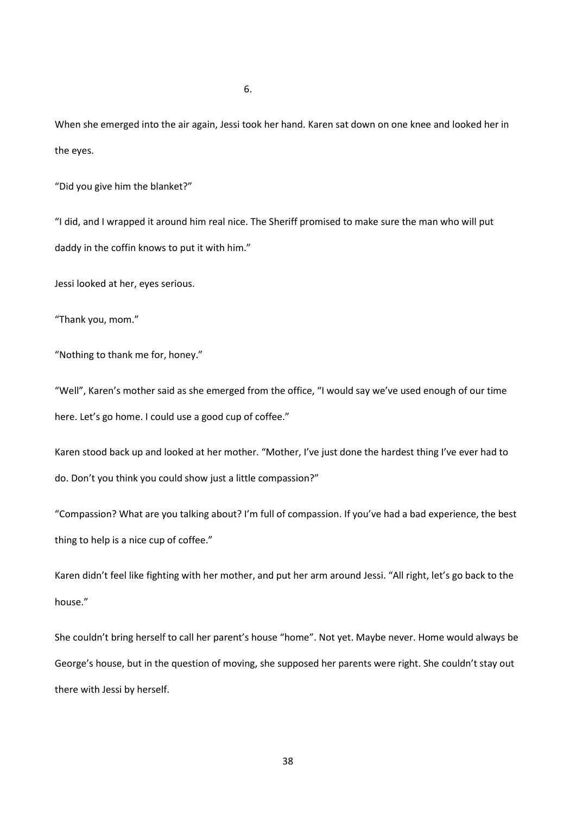When she emerged into the air again, Jessi took her hand. Karen sat down on one knee and looked her in the eyes.

"Did you give him the blanket?"

"I did, and I wrapped it around him real nice. The Sheriff promised to make sure the man who will put daddy in the coffin knows to put it with him."

Jessi looked at her, eyes serious.

"Thank you, mom."

"Nothing to thank me for, honey."

"Well", Karen's mother said as she emerged from the office, "I would say we've used enough of our time here. Let's go home. I could use a good cup of coffee."

Karen stood back up and looked at her mother. "Mother, I've just done the hardest thing I've ever had to do. Don't you think you could show just a little compassion?"

"Compassion? What are you talking about? I'm full of compassion. If you've had a bad experience, the best thing to help is a nice cup of coffee."

Karen didn't feel like fighting with her mother, and put her arm around Jessi. "All right, let's go back to the house."

She couldn't bring herself to call her parent's house "home". Not yet. Maybe never. Home would always be George's house, but in the question of moving, she supposed her parents were right. She couldn't stay out there with Jessi by herself.

6.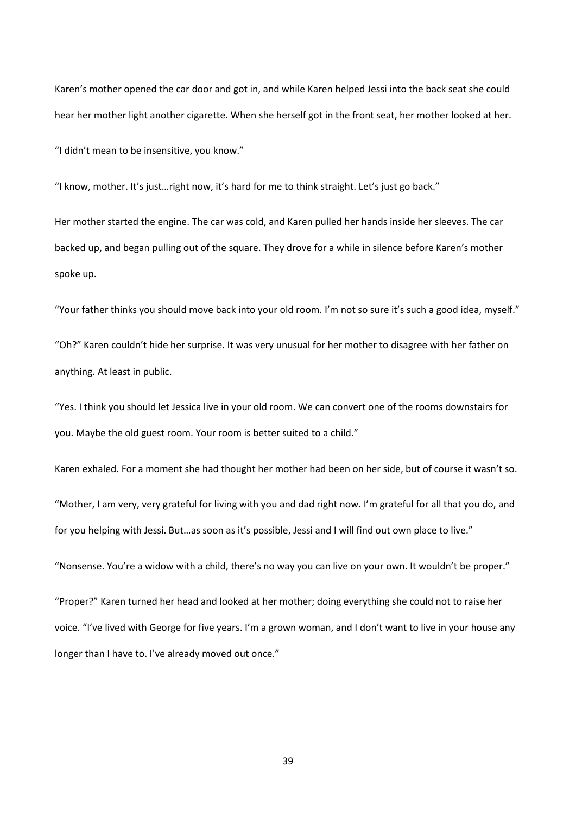Karen's mother opened the car door and got in, and while Karen helped Jessi into the back seat she could hear her mother light another cigarette. When she herself got in the front seat, her mother looked at her.

"I didn't mean to be insensitive, you know."

"I know, mother. It's just…right now, it's hard for me to think straight. Let's just go back."

Her mother started the engine. The car was cold, and Karen pulled her hands inside her sleeves. The car backed up, and began pulling out of the square. They drove for a while in silence before Karen's mother spoke up.

"Your father thinks you should move back into your old room. I'm not so sure it's such a good idea, myself."

"Oh?" Karen couldn't hide her surprise. It was very unusual for her mother to disagree with her father on anything. At least in public.

"Yes. I think you should let Jessica live in your old room. We can convert one of the rooms downstairs for you. Maybe the old guest room. Your room is better suited to a child."

Karen exhaled. For a moment she had thought her mother had been on her side, but of course it wasn't so.

"Mother, I am very, very grateful for living with you and dad right now. I'm grateful for all that you do, and for you helping with Jessi. But…as soon as it's possible, Jessi and I will find out own place to live."

"Nonsense. You're a widow with a child, there's no way you can live on your own. It wouldn't be proper."

"Proper?" Karen turned her head and looked at her mother; doing everything she could not to raise her voice. "I've lived with George for five years. I'm a grown woman, and I don't want to live in your house any longer than I have to. I've already moved out once."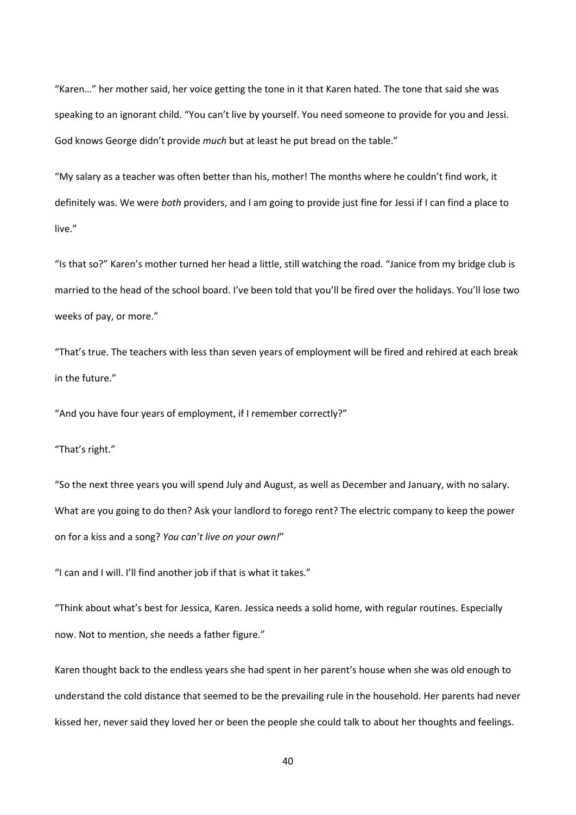"Karen…" her mother said, her voice getting the tone in it that Karen hated. The tone that said she was speaking to an ignorant child. "You can't live by yourself. You need someone to provide for you and Jessi. God knows George didn't provide *much* but at least he put bread on the table."

"My salary as a teacher was often better than his, mother! The months where he couldn't find work, it definitely was. We were *both* providers, and I am going to provide just fine for Jessi if I can find a place to live."

"Is that so?" Karen's mother turned her head a little, still watching the road. "Janice from my bridge club is married to the head of the school board. I've been told that you'll be fired over the holidays. You'll lose two weeks of pay, or more."

"That's true. The teachers with less than seven years of employment will be fired and rehired at each break in the future."

"And you have four years of employment, if I remember correctly?"

"That's right."

"So the next three years you will spend July and August, as well as December and January, with no salary. What are you going to do then? Ask your landlord to forego rent? The electric company to keep the power on for a kiss and a song? *You can't live on your own!*"

"I can and I will. I'll find another job if that is what it takes."

"Think about what's best for Jessica, Karen. Jessica needs a solid home, with regular routines. Especially now. Not to mention, she needs a father figure."

Karen thought back to the endless years she had spent in her parent's house when she was old enough to understand the cold distance that seemed to be the prevailing rule in the household. Her parents had never kissed her, never said they loved her or been the people she could talk to about her thoughts and feelings.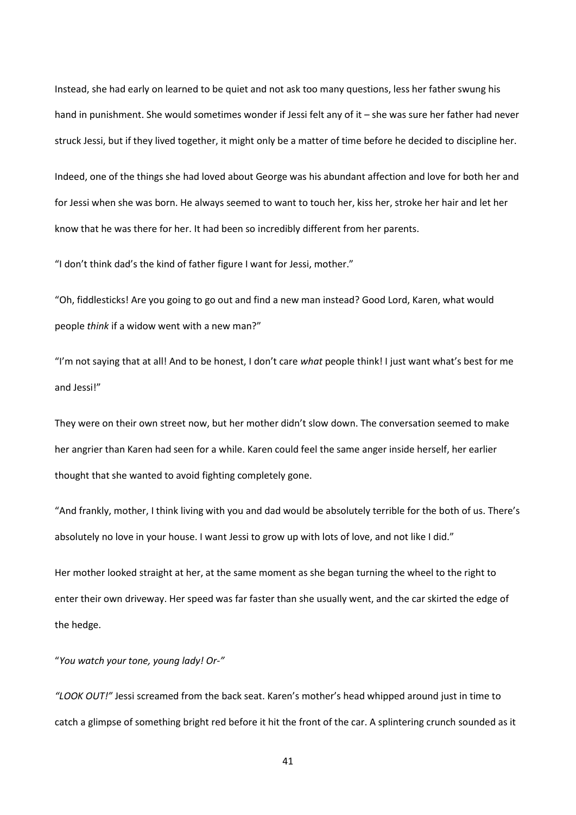Instead, she had early on learned to be quiet and not ask too many questions, less her father swung his hand in punishment. She would sometimes wonder if Jessi felt any of it – she was sure her father had never struck Jessi, but if they lived together, it might only be a matter of time before he decided to discipline her.

Indeed, one of the things she had loved about George was his abundant affection and love for both her and for Jessi when she was born. He always seemed to want to touch her, kiss her, stroke her hair and let her know that he was there for her. It had been so incredibly different from her parents.

"I don't think dad's the kind of father figure I want for Jessi, mother."

"Oh, fiddlesticks! Are you going to go out and find a new man instead? Good Lord, Karen, what would people *think* if a widow went with a new man?"

"I'm not saying that at all! And to be honest, I don't care *what* people think! I just want what's best for me and Jessi!"

They were on their own street now, but her mother didn't slow down. The conversation seemed to make her angrier than Karen had seen for a while. Karen could feel the same anger inside herself, her earlier thought that she wanted to avoid fighting completely gone.

"And frankly, mother, I think living with you and dad would be absolutely terrible for the both of us. There's absolutely no love in your house. I want Jessi to grow up with lots of love, and not like I did."

Her mother looked straight at her, at the same moment as she began turning the wheel to the right to enter their own driveway. Her speed was far faster than she usually went, and the car skirted the edge of the hedge.

"*You watch your tone, young lady! Or-"*

*"LOOK OUT!"* Jessi screamed from the back seat. Karen's mother's head whipped around just in time to catch a glimpse of something bright red before it hit the front of the car. A splintering crunch sounded as it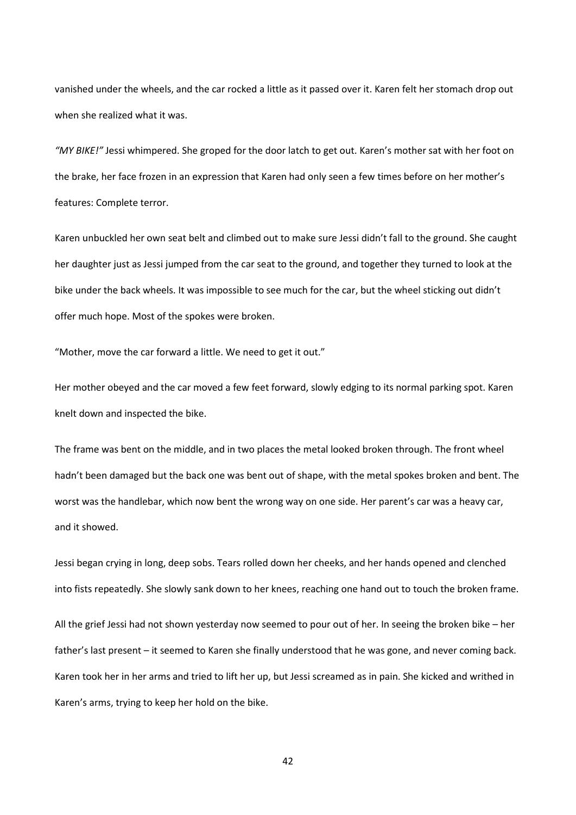vanished under the wheels, and the car rocked a little as it passed over it. Karen felt her stomach drop out when she realized what it was.

*"MY BIKE!"* Jessi whimpered. She groped for the door latch to get out. Karen's mother sat with her foot on the brake, her face frozen in an expression that Karen had only seen a few times before on her mother's features: Complete terror.

Karen unbuckled her own seat belt and climbed out to make sure Jessi didn't fall to the ground. She caught her daughter just as Jessi jumped from the car seat to the ground, and together they turned to look at the bike under the back wheels. It was impossible to see much for the car, but the wheel sticking out didn't offer much hope. Most of the spokes were broken.

"Mother, move the car forward a little. We need to get it out."

Her mother obeyed and the car moved a few feet forward, slowly edging to its normal parking spot. Karen knelt down and inspected the bike.

The frame was bent on the middle, and in two places the metal looked broken through. The front wheel hadn't been damaged but the back one was bent out of shape, with the metal spokes broken and bent. The worst was the handlebar, which now bent the wrong way on one side. Her parent's car was a heavy car, and it showed.

Jessi began crying in long, deep sobs. Tears rolled down her cheeks, and her hands opened and clenched into fists repeatedly. She slowly sank down to her knees, reaching one hand out to touch the broken frame. All the grief Jessi had not shown yesterday now seemed to pour out of her. In seeing the broken bike – her father's last present – it seemed to Karen she finally understood that he was gone, and never coming back. Karen took her in her arms and tried to lift her up, but Jessi screamed as in pain. She kicked and writhed in Karen's arms, trying to keep her hold on the bike.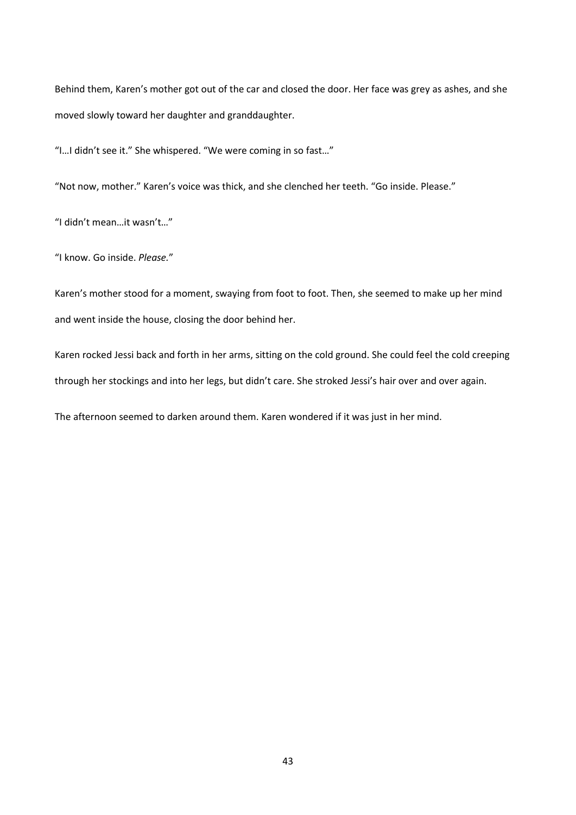Behind them, Karen's mother got out of the car and closed the door. Her face was grey as ashes, and she moved slowly toward her daughter and granddaughter.

"I…I didn't see it." She whispered. "We were coming in so fast…"

"Not now, mother." Karen's voice was thick, and she clenched her teeth. "Go inside. Please."

"I didn't mean…it wasn't…"

"I know. Go inside. *Please.*"

Karen's mother stood for a moment, swaying from foot to foot. Then, she seemed to make up her mind and went inside the house, closing the door behind her.

Karen rocked Jessi back and forth in her arms, sitting on the cold ground. She could feel the cold creeping through her stockings and into her legs, but didn't care. She stroked Jessi's hair over and over again.

The afternoon seemed to darken around them. Karen wondered if it was just in her mind.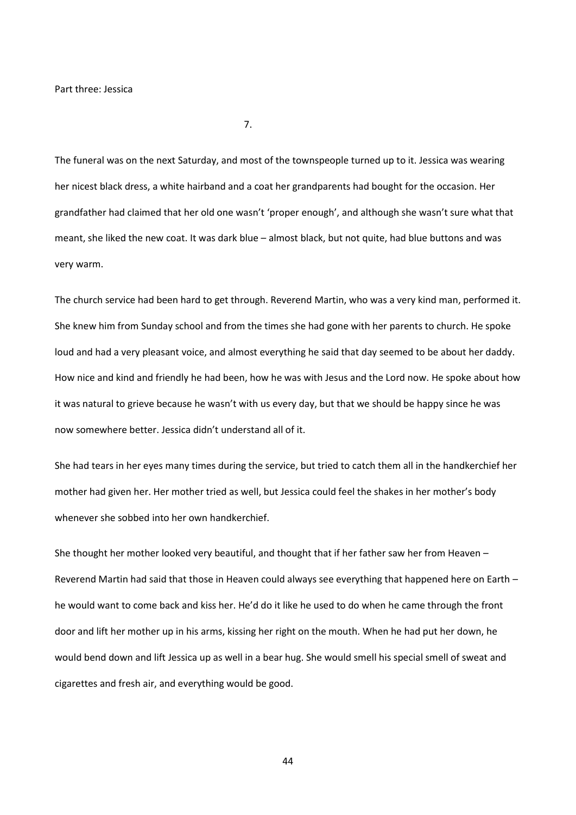7.

The funeral was on the next Saturday, and most of the townspeople turned up to it. Jessica was wearing her nicest black dress, a white hairband and a coat her grandparents had bought for the occasion. Her grandfather had claimed that her old one wasn't 'proper enough', and although she wasn't sure what that meant, she liked the new coat. It was dark blue – almost black, but not quite, had blue buttons and was very warm.

The church service had been hard to get through. Reverend Martin, who was a very kind man, performed it. She knew him from Sunday school and from the times she had gone with her parents to church. He spoke loud and had a very pleasant voice, and almost everything he said that day seemed to be about her daddy. How nice and kind and friendly he had been, how he was with Jesus and the Lord now. He spoke about how it was natural to grieve because he wasn't with us every day, but that we should be happy since he was now somewhere better. Jessica didn't understand all of it.

She had tears in her eyes many times during the service, but tried to catch them all in the handkerchief her mother had given her. Her mother tried as well, but Jessica could feel the shakes in her mother's body whenever she sobbed into her own handkerchief.

She thought her mother looked very beautiful, and thought that if her father saw her from Heaven – Reverend Martin had said that those in Heaven could always see everything that happened here on Earth – he would want to come back and kiss her. He'd do it like he used to do when he came through the front door and lift her mother up in his arms, kissing her right on the mouth. When he had put her down, he would bend down and lift Jessica up as well in a bear hug. She would smell his special smell of sweat and cigarettes and fresh air, and everything would be good.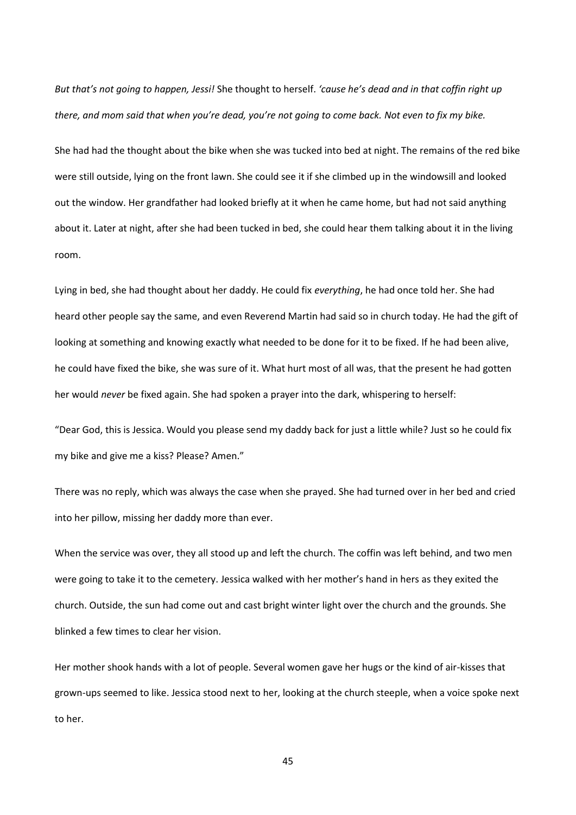*But that's not going to happen, Jessi!* She thought to herself. *'cause he's dead and in that coffin right up there, and mom said that when you're dead, you're not going to come back. Not even to fix my bike.*

She had had the thought about the bike when she was tucked into bed at night. The remains of the red bike were still outside, lying on the front lawn. She could see it if she climbed up in the windowsill and looked out the window. Her grandfather had looked briefly at it when he came home, but had not said anything about it. Later at night, after she had been tucked in bed, she could hear them talking about it in the living room.

Lying in bed, she had thought about her daddy. He could fix *everything*, he had once told her. She had heard other people say the same, and even Reverend Martin had said so in church today. He had the gift of looking at something and knowing exactly what needed to be done for it to be fixed. If he had been alive, he could have fixed the bike, she was sure of it. What hurt most of all was, that the present he had gotten her would *never* be fixed again. She had spoken a prayer into the dark, whispering to herself:

"Dear God, this is Jessica. Would you please send my daddy back for just a little while? Just so he could fix my bike and give me a kiss? Please? Amen."

There was no reply, which was always the case when she prayed. She had turned over in her bed and cried into her pillow, missing her daddy more than ever.

When the service was over, they all stood up and left the church. The coffin was left behind, and two men were going to take it to the cemetery. Jessica walked with her mother's hand in hers as they exited the church. Outside, the sun had come out and cast bright winter light over the church and the grounds. She blinked a few times to clear her vision.

Her mother shook hands with a lot of people. Several women gave her hugs or the kind of air-kisses that grown-ups seemed to like. Jessica stood next to her, looking at the church steeple, when a voice spoke next to her.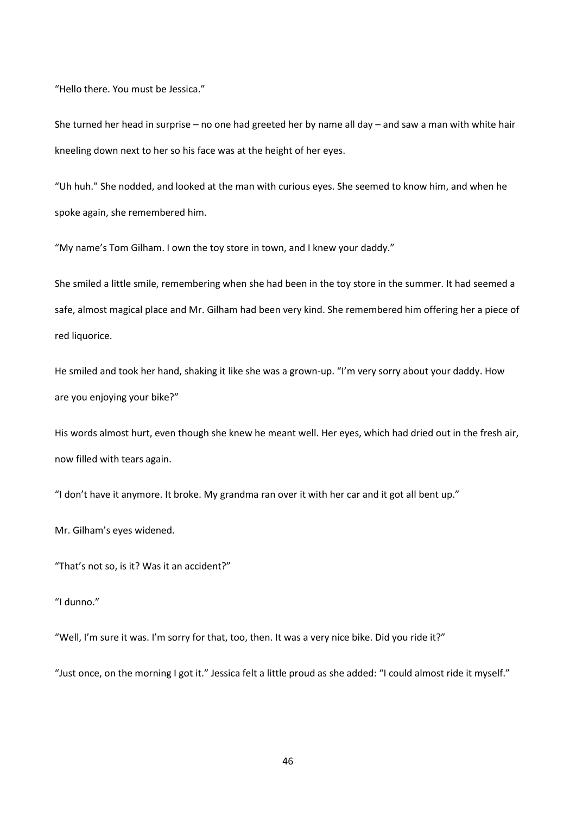"Hello there. You must be Jessica."

She turned her head in surprise – no one had greeted her by name all day – and saw a man with white hair kneeling down next to her so his face was at the height of her eyes.

"Uh huh." She nodded, and looked at the man with curious eyes. She seemed to know him, and when he spoke again, she remembered him.

"My name's Tom Gilham. I own the toy store in town, and I knew your daddy."

She smiled a little smile, remembering when she had been in the toy store in the summer. It had seemed a safe, almost magical place and Mr. Gilham had been very kind. She remembered him offering her a piece of red liquorice.

He smiled and took her hand, shaking it like she was a grown-up. "I'm very sorry about your daddy. How are you enjoying your bike?"

His words almost hurt, even though she knew he meant well. Her eyes, which had dried out in the fresh air, now filled with tears again.

"I don't have it anymore. It broke. My grandma ran over it with her car and it got all bent up."

Mr. Gilham's eyes widened.

"That's not so, is it? Was it an accident?"

"I dunno."

"Well, I'm sure it was. I'm sorry for that, too, then. It was a very nice bike. Did you ride it?"

"Just once, on the morning I got it." Jessica felt a little proud as she added: "I could almost ride it myself."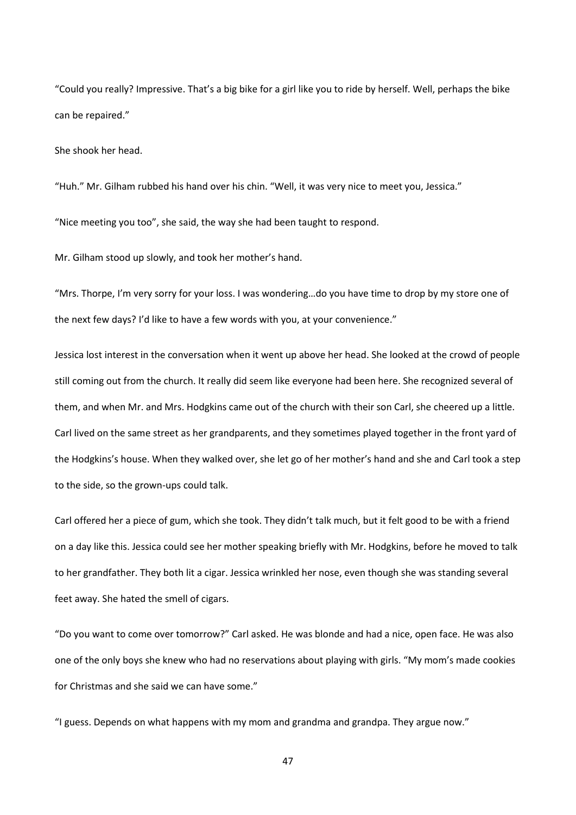"Could you really? Impressive. That's a big bike for a girl like you to ride by herself. Well, perhaps the bike can be repaired."

She shook her head.

"Huh." Mr. Gilham rubbed his hand over his chin. "Well, it was very nice to meet you, Jessica."

"Nice meeting you too", she said, the way she had been taught to respond.

Mr. Gilham stood up slowly, and took her mother's hand.

"Mrs. Thorpe, I'm very sorry for your loss. I was wondering…do you have time to drop by my store one of the next few days? I'd like to have a few words with you, at your convenience."

Jessica lost interest in the conversation when it went up above her head. She looked at the crowd of people still coming out from the church. It really did seem like everyone had been here. She recognized several of them, and when Mr. and Mrs. Hodgkins came out of the church with their son Carl, she cheered up a little. Carl lived on the same street as her grandparents, and they sometimes played together in the front yard of the Hodgkins's house. When they walked over, she let go of her mother's hand and she and Carl took a step to the side, so the grown-ups could talk.

Carl offered her a piece of gum, which she took. They didn't talk much, but it felt good to be with a friend on a day like this. Jessica could see her mother speaking briefly with Mr. Hodgkins, before he moved to talk to her grandfather. They both lit a cigar. Jessica wrinkled her nose, even though she was standing several feet away. She hated the smell of cigars.

"Do you want to come over tomorrow?" Carl asked. He was blonde and had a nice, open face. He was also one of the only boys she knew who had no reservations about playing with girls. "My mom's made cookies for Christmas and she said we can have some."

"I guess. Depends on what happens with my mom and grandma and grandpa. They argue now."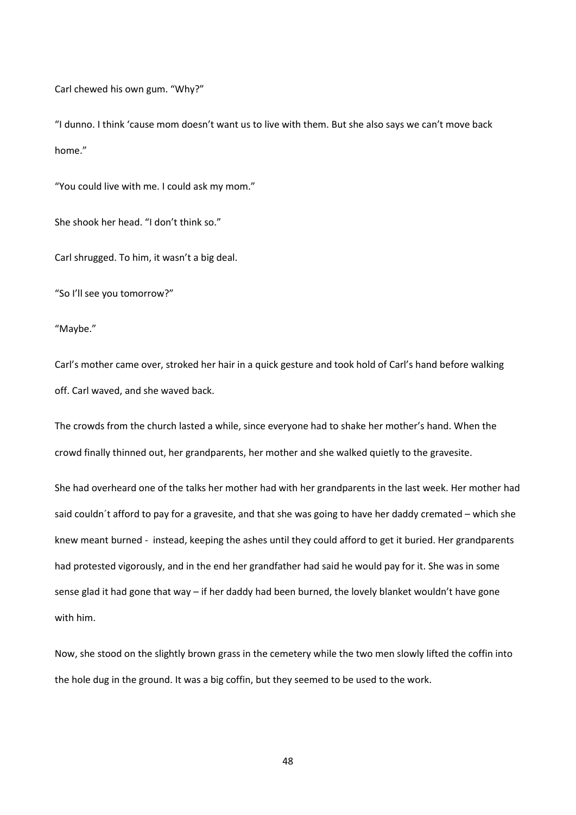Carl chewed his own gum. "Why?"

"I dunno. I think 'cause mom doesn't want us to live with them. But she also says we can't move back home"

"You could live with me. I could ask my mom."

She shook her head. "I don't think so."

Carl shrugged. To him, it wasn't a big deal.

"So I'll see you tomorrow?"

"Maybe."

Carl's mother came over, stroked her hair in a quick gesture and took hold of Carl's hand before walking off. Carl waved, and she waved back.

The crowds from the church lasted a while, since everyone had to shake her mother's hand. When the crowd finally thinned out, her grandparents, her mother and she walked quietly to the gravesite.

She had overheard one of the talks her mother had with her grandparents in the last week. Her mother had said couldn´t afford to pay for a gravesite, and that she was going to have her daddy cremated – which she knew meant burned - instead, keeping the ashes until they could afford to get it buried. Her grandparents had protested vigorously, and in the end her grandfather had said he would pay for it. She was in some sense glad it had gone that way – if her daddy had been burned, the lovely blanket wouldn't have gone with him.

Now, she stood on the slightly brown grass in the cemetery while the two men slowly lifted the coffin into the hole dug in the ground. It was a big coffin, but they seemed to be used to the work.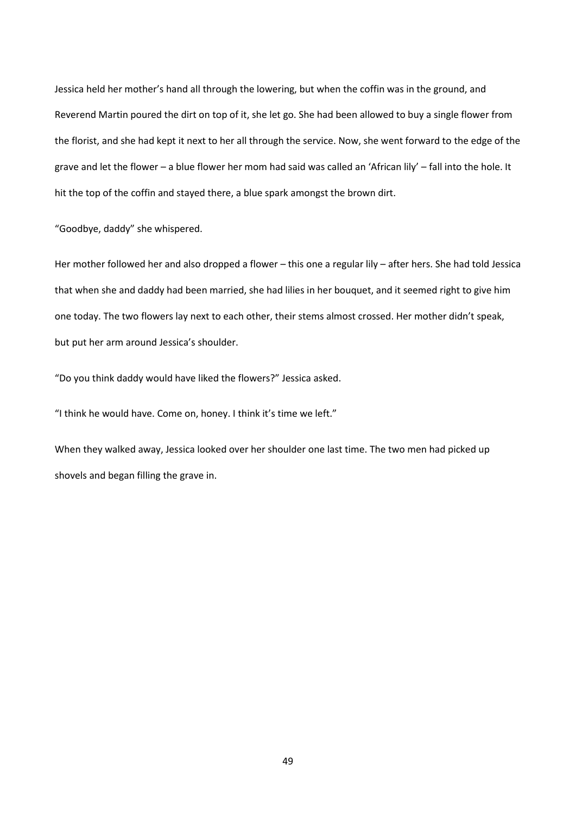Jessica held her mother's hand all through the lowering, but when the coffin was in the ground, and Reverend Martin poured the dirt on top of it, she let go. She had been allowed to buy a single flower from the florist, and she had kept it next to her all through the service. Now, she went forward to the edge of the grave and let the flower – a blue flower her mom had said was called an 'African lily' – fall into the hole. It hit the top of the coffin and stayed there, a blue spark amongst the brown dirt.

"Goodbye, daddy" she whispered.

Her mother followed her and also dropped a flower – this one a regular lily – after hers. She had told Jessica that when she and daddy had been married, she had lilies in her bouquet, and it seemed right to give him one today. The two flowers lay next to each other, their stems almost crossed. Her mother didn't speak, but put her arm around Jessica's shoulder.

"Do you think daddy would have liked the flowers?" Jessica asked.

"I think he would have. Come on, honey. I think it's time we left."

When they walked away, Jessica looked over her shoulder one last time. The two men had picked up shovels and began filling the grave in.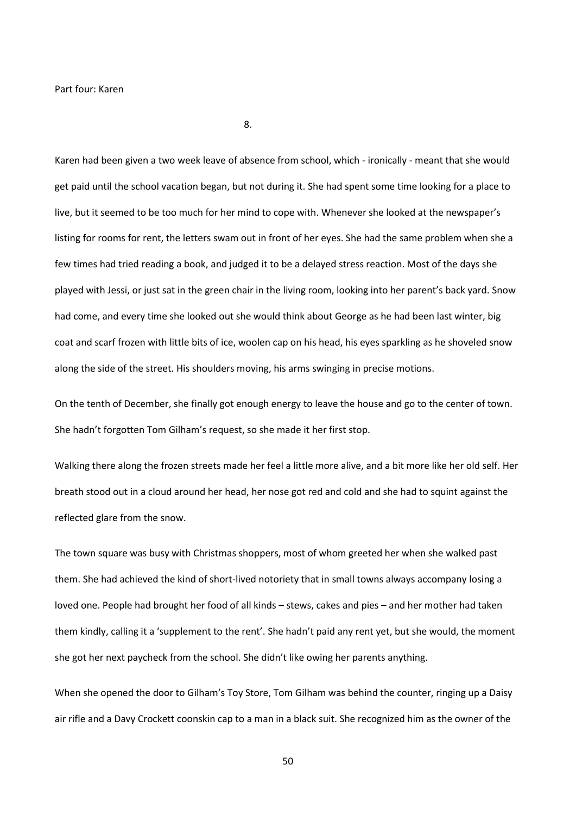8.

Karen had been given a two week leave of absence from school, which - ironically - meant that she would get paid until the school vacation began, but not during it. She had spent some time looking for a place to live, but it seemed to be too much for her mind to cope with. Whenever she looked at the newspaper's listing for rooms for rent, the letters swam out in front of her eyes. She had the same problem when she a few times had tried reading a book, and judged it to be a delayed stress reaction. Most of the days she played with Jessi, or just sat in the green chair in the living room, looking into her parent's back yard. Snow had come, and every time she looked out she would think about George as he had been last winter, big coat and scarf frozen with little bits of ice, woolen cap on his head, his eyes sparkling as he shoveled snow along the side of the street. His shoulders moving, his arms swinging in precise motions.

On the tenth of December, she finally got enough energy to leave the house and go to the center of town. She hadn't forgotten Tom Gilham's request, so she made it her first stop.

Walking there along the frozen streets made her feel a little more alive, and a bit more like her old self. Her breath stood out in a cloud around her head, her nose got red and cold and she had to squint against the reflected glare from the snow.

The town square was busy with Christmas shoppers, most of whom greeted her when she walked past them. She had achieved the kind of short-lived notoriety that in small towns always accompany losing a loved one. People had brought her food of all kinds – stews, cakes and pies – and her mother had taken them kindly, calling it a 'supplement to the rent'. She hadn't paid any rent yet, but she would, the moment she got her next paycheck from the school. She didn't like owing her parents anything.

When she opened the door to Gilham's Toy Store, Tom Gilham was behind the counter, ringing up a Daisy air rifle and a Davy Crockett coonskin cap to a man in a black suit. She recognized him as the owner of the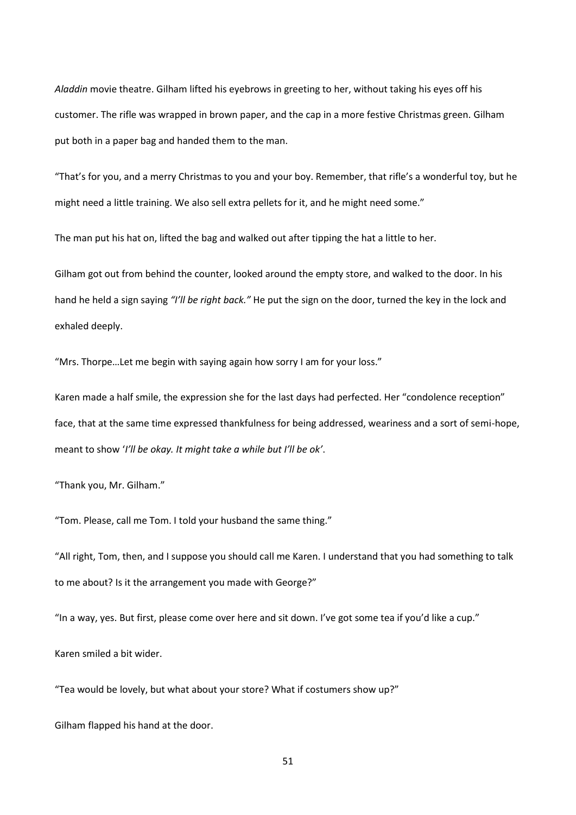*Aladdin* movie theatre. Gilham lifted his eyebrows in greeting to her, without taking his eyes off his customer. The rifle was wrapped in brown paper, and the cap in a more festive Christmas green. Gilham put both in a paper bag and handed them to the man.

"That's for you, and a merry Christmas to you and your boy. Remember, that rifle's a wonderful toy, but he might need a little training. We also sell extra pellets for it, and he might need some."

The man put his hat on, lifted the bag and walked out after tipping the hat a little to her.

Gilham got out from behind the counter, looked around the empty store, and walked to the door. In his hand he held a sign saying *"I'll be right back."* He put the sign on the door, turned the key in the lock and exhaled deeply.

"Mrs. Thorpe…Let me begin with saying again how sorry I am for your loss."

Karen made a half smile, the expression she for the last days had perfected. Her "condolence reception" face, that at the same time expressed thankfulness for being addressed, weariness and a sort of semi-hope, meant to show '*I'll be okay. It might take a while but I'll be ok'*.

"Thank you, Mr. Gilham."

"Tom. Please, call me Tom. I told your husband the same thing."

"All right, Tom, then, and I suppose you should call me Karen. I understand that you had something to talk to me about? Is it the arrangement you made with George?"

"In a way, yes. But first, please come over here and sit down. I've got some tea if you'd like a cup."

Karen smiled a bit wider.

"Tea would be lovely, but what about your store? What if costumers show up?"

Gilham flapped his hand at the door.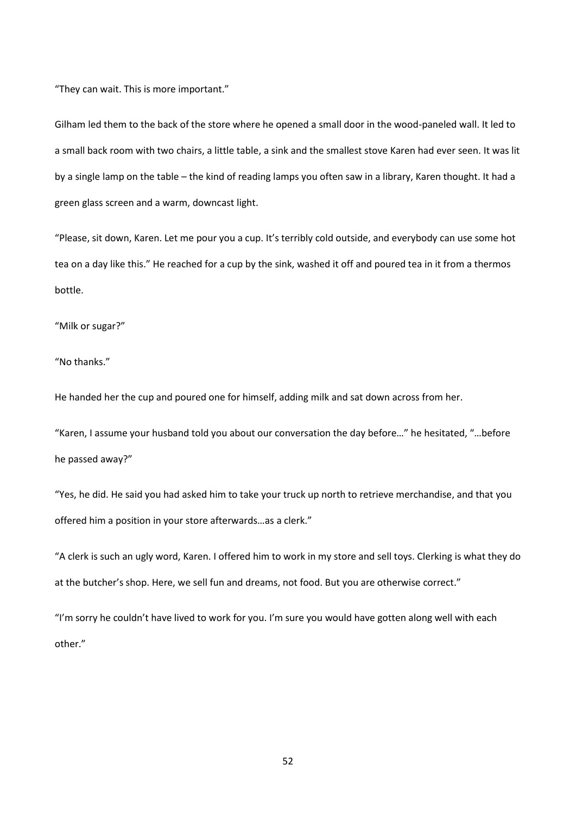"They can wait. This is more important."

Gilham led them to the back of the store where he opened a small door in the wood-paneled wall. It led to a small back room with two chairs, a little table, a sink and the smallest stove Karen had ever seen. It was lit by a single lamp on the table – the kind of reading lamps you often saw in a library, Karen thought. It had a green glass screen and a warm, downcast light.

"Please, sit down, Karen. Let me pour you a cup. It's terribly cold outside, and everybody can use some hot tea on a day like this." He reached for a cup by the sink, washed it off and poured tea in it from a thermos bottle.

"Milk or sugar?"

"No thanks."

He handed her the cup and poured one for himself, adding milk and sat down across from her.

"Karen, I assume your husband told you about our conversation the day before…" he hesitated, "…before he passed away?"

"Yes, he did. He said you had asked him to take your truck up north to retrieve merchandise, and that you offered him a position in your store afterwards…as a clerk."

"A clerk is such an ugly word, Karen. I offered him to work in my store and sell toys. Clerking is what they do at the butcher's shop. Here, we sell fun and dreams, not food. But you are otherwise correct."

"I'm sorry he couldn't have lived to work for you. I'm sure you would have gotten along well with each other."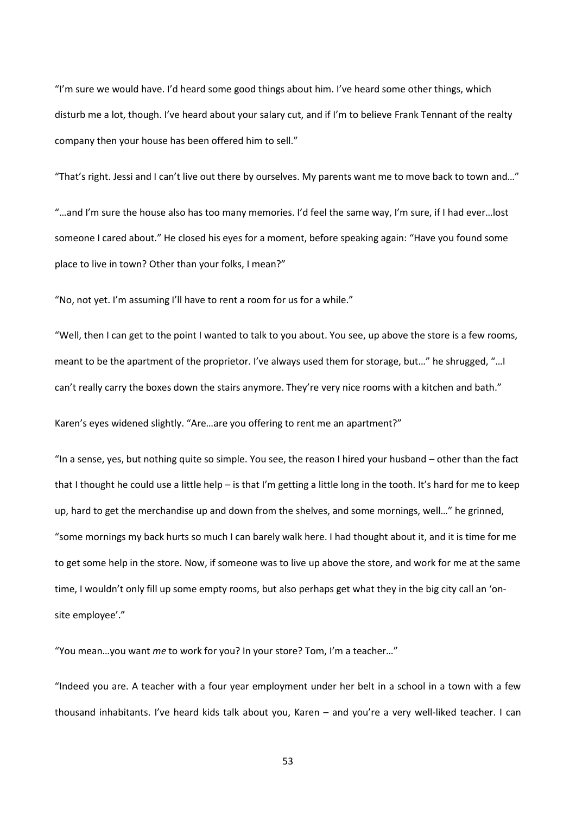"I'm sure we would have. I'd heard some good things about him. I've heard some other things, which disturb me a lot, though. I've heard about your salary cut, and if I'm to believe Frank Tennant of the realty company then your house has been offered him to sell."

"That's right. Jessi and I can't live out there by ourselves. My parents want me to move back to town and…"

"…and I'm sure the house also has too many memories. I'd feel the same way, I'm sure, if I had ever…lost someone I cared about." He closed his eyes for a moment, before speaking again: "Have you found some place to live in town? Other than your folks, I mean?"

"No, not yet. I'm assuming I'll have to rent a room for us for a while."

"Well, then I can get to the point I wanted to talk to you about. You see, up above the store is a few rooms, meant to be the apartment of the proprietor. I've always used them for storage, but…" he shrugged, "…I can't really carry the boxes down the stairs anymore. They're very nice rooms with a kitchen and bath."

Karen's eyes widened slightly. "Are…are you offering to rent me an apartment?"

"In a sense, yes, but nothing quite so simple. You see, the reason I hired your husband – other than the fact that I thought he could use a little help – is that I'm getting a little long in the tooth. It's hard for me to keep up, hard to get the merchandise up and down from the shelves, and some mornings, well…" he grinned, "some mornings my back hurts so much I can barely walk here. I had thought about it, and it is time for me to get some help in the store. Now, if someone was to live up above the store, and work for me at the same time, I wouldn't only fill up some empty rooms, but also perhaps get what they in the big city call an 'onsite employee'."

"You mean…you want *me* to work for you? In your store? Tom, I'm a teacher…"

"Indeed you are. A teacher with a four year employment under her belt in a school in a town with a few thousand inhabitants. I've heard kids talk about you, Karen – and you're a very well-liked teacher. I can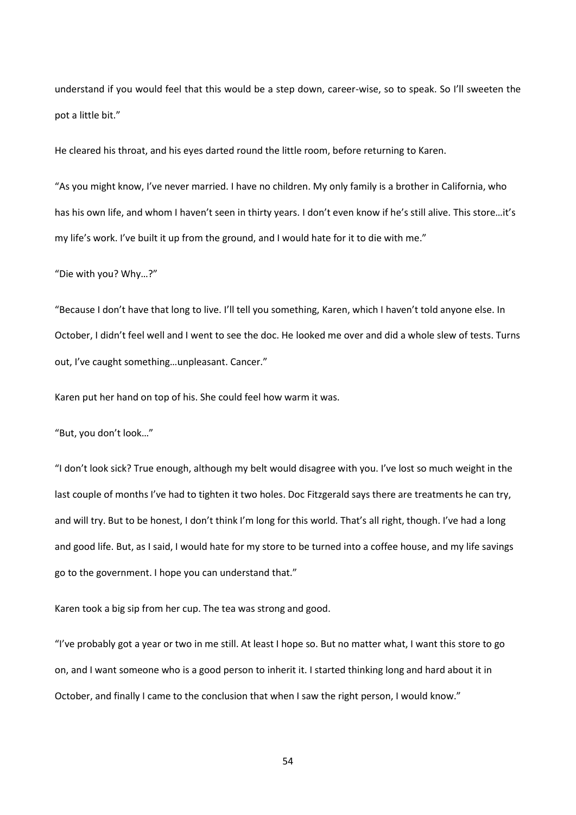understand if you would feel that this would be a step down, career-wise, so to speak. So I'll sweeten the pot a little bit."

He cleared his throat, and his eyes darted round the little room, before returning to Karen.

"As you might know, I've never married. I have no children. My only family is a brother in California, who has his own life, and whom I haven't seen in thirty years. I don't even know if he's still alive. This store…it's my life's work. I've built it up from the ground, and I would hate for it to die with me."

"Die with you? Why…?"

"Because I don't have that long to live. I'll tell you something, Karen, which I haven't told anyone else. In October, I didn't feel well and I went to see the doc. He looked me over and did a whole slew of tests. Turns out, I've caught something…unpleasant. Cancer."

Karen put her hand on top of his. She could feel how warm it was.

"But, you don't look…"

"I don't look sick? True enough, although my belt would disagree with you. I've lost so much weight in the last couple of months I've had to tighten it two holes. Doc Fitzgerald says there are treatments he can try, and will try. But to be honest, I don't think I'm long for this world. That's all right, though. I've had a long and good life. But, as I said, I would hate for my store to be turned into a coffee house, and my life savings go to the government. I hope you can understand that."

Karen took a big sip from her cup. The tea was strong and good.

"I've probably got a year or two in me still. At least I hope so. But no matter what, I want this store to go on, and I want someone who is a good person to inherit it. I started thinking long and hard about it in October, and finally I came to the conclusion that when I saw the right person, I would know."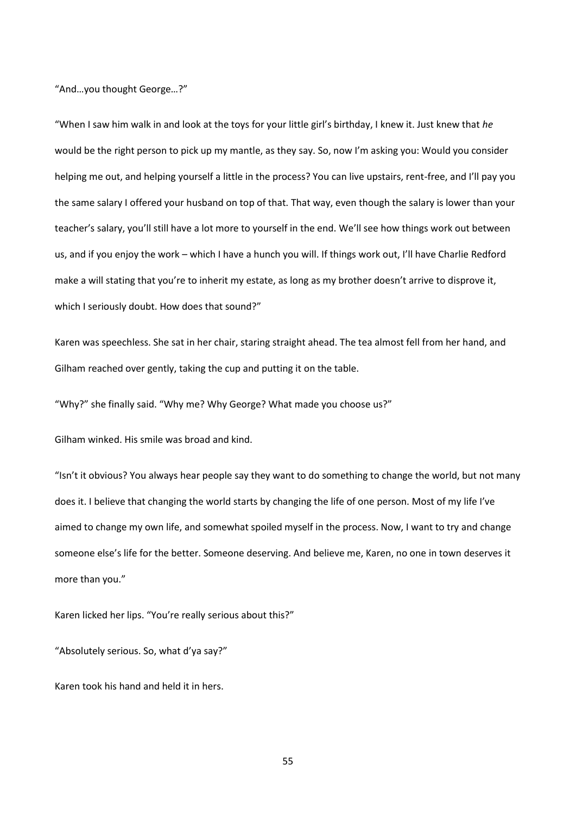"And…you thought George…?"

"When I saw him walk in and look at the toys for your little girl's birthday, I knew it. Just knew that *he*  would be the right person to pick up my mantle, as they say. So, now I'm asking you: Would you consider helping me out, and helping yourself a little in the process? You can live upstairs, rent-free, and I'll pay you the same salary I offered your husband on top of that. That way, even though the salary is lower than your teacher's salary, you'll still have a lot more to yourself in the end. We'll see how things work out between us, and if you enjoy the work – which I have a hunch you will. If things work out, I'll have Charlie Redford make a will stating that you're to inherit my estate, as long as my brother doesn't arrive to disprove it, which I seriously doubt. How does that sound?"

Karen was speechless. She sat in her chair, staring straight ahead. The tea almost fell from her hand, and Gilham reached over gently, taking the cup and putting it on the table.

"Why?" she finally said. "Why me? Why George? What made you choose us?"

Gilham winked. His smile was broad and kind.

"Isn't it obvious? You always hear people say they want to do something to change the world, but not many does it. I believe that changing the world starts by changing the life of one person. Most of my life I've aimed to change my own life, and somewhat spoiled myself in the process. Now, I want to try and change someone else's life for the better. Someone deserving. And believe me, Karen, no one in town deserves it more than you."

Karen licked her lips. "You're really serious about this?"

"Absolutely serious. So, what d'ya say?"

Karen took his hand and held it in hers.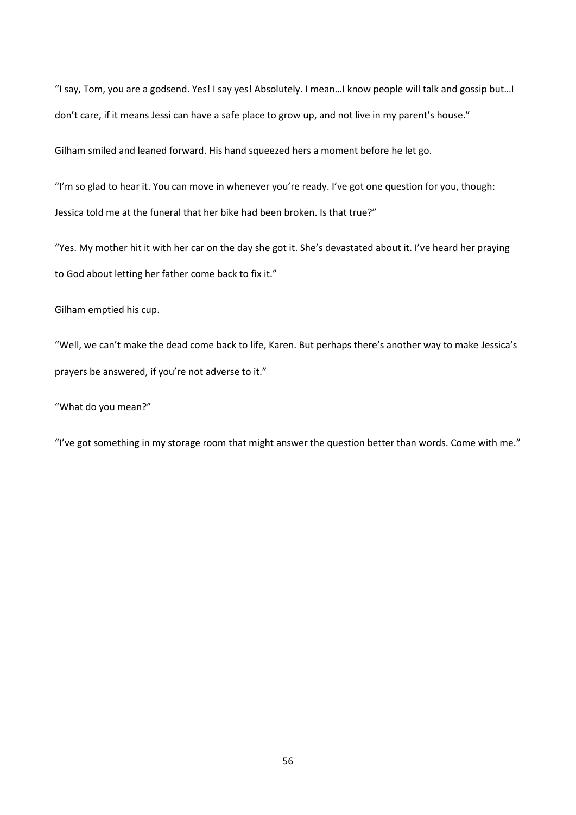"I say, Tom, you are a godsend. Yes! I say yes! Absolutely. I mean…I know people will talk and gossip but…I don't care, if it means Jessi can have a safe place to grow up, and not live in my parent's house."

Gilham smiled and leaned forward. His hand squeezed hers a moment before he let go.

"I'm so glad to hear it. You can move in whenever you're ready. I've got one question for you, though: Jessica told me at the funeral that her bike had been broken. Is that true?"

"Yes. My mother hit it with her car on the day she got it. She's devastated about it. I've heard her praying to God about letting her father come back to fix it."

Gilham emptied his cup.

"Well, we can't make the dead come back to life, Karen. But perhaps there's another way to make Jessica's prayers be answered, if you're not adverse to it."

"What do you mean?"

"I've got something in my storage room that might answer the question better than words. Come with me."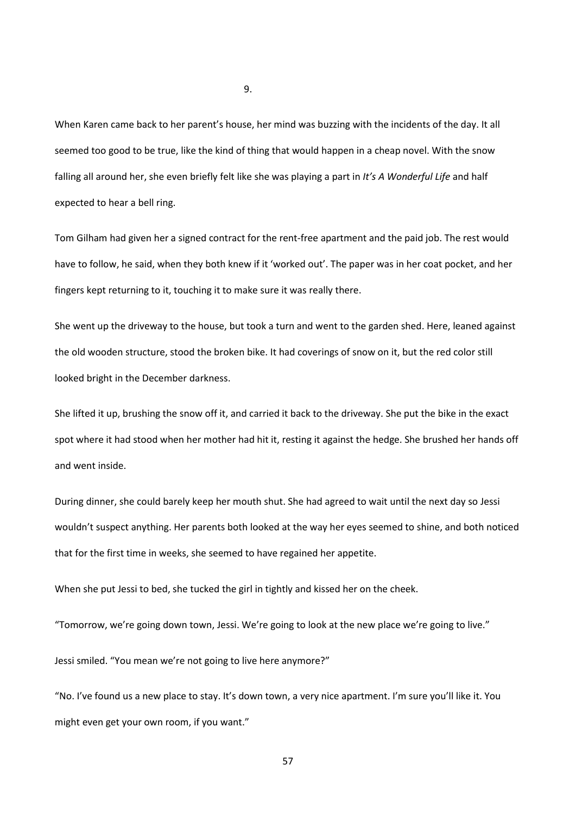When Karen came back to her parent's house, her mind was buzzing with the incidents of the day. It all seemed too good to be true, like the kind of thing that would happen in a cheap novel. With the snow falling all around her, she even briefly felt like she was playing a part in *It's A Wonderful Life* and half expected to hear a bell ring.

Tom Gilham had given her a signed contract for the rent-free apartment and the paid job. The rest would have to follow, he said, when they both knew if it 'worked out'. The paper was in her coat pocket, and her fingers kept returning to it, touching it to make sure it was really there.

She went up the driveway to the house, but took a turn and went to the garden shed. Here, leaned against the old wooden structure, stood the broken bike. It had coverings of snow on it, but the red color still looked bright in the December darkness.

She lifted it up, brushing the snow off it, and carried it back to the driveway. She put the bike in the exact spot where it had stood when her mother had hit it, resting it against the hedge. She brushed her hands off and went inside.

During dinner, she could barely keep her mouth shut. She had agreed to wait until the next day so Jessi wouldn't suspect anything. Her parents both looked at the way her eyes seemed to shine, and both noticed that for the first time in weeks, she seemed to have regained her appetite.

When she put Jessi to bed, she tucked the girl in tightly and kissed her on the cheek.

"Tomorrow, we're going down town, Jessi. We're going to look at the new place we're going to live."

Jessi smiled. "You mean we're not going to live here anymore?"

"No. I've found us a new place to stay. It's down town, a very nice apartment. I'm sure you'll like it. You might even get your own room, if you want."

9.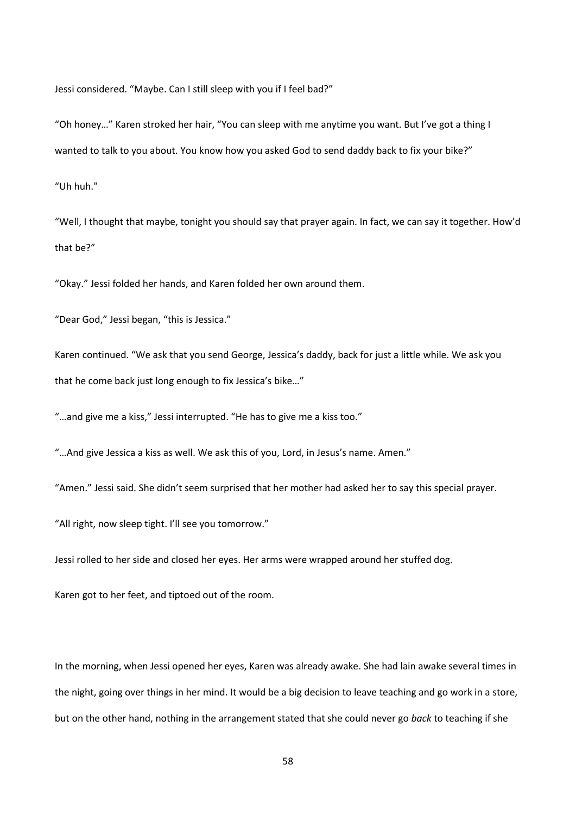Jessi considered. "Maybe. Can I still sleep with you if I feel bad?"

"Oh honey…" Karen stroked her hair, "You can sleep with me anytime you want. But I've got a thing I wanted to talk to you about. You know how you asked God to send daddy back to fix your bike?"

"Uh huh."

"Well, I thought that maybe, tonight you should say that prayer again. In fact, we can say it together. How'd that be?"

"Okay." Jessi folded her hands, and Karen folded her own around them.

"Dear God," Jessi began, "this is Jessica."

Karen continued. "We ask that you send George, Jessica's daddy, back for just a little while. We ask you that he come back just long enough to fix Jessica's bike…"

"…and give me a kiss," Jessi interrupted. "He has to give me a kiss too."

"…And give Jessica a kiss as well. We ask this of you, Lord, in Jesus's name. Amen."

"Amen." Jessi said. She didn't seem surprised that her mother had asked her to say this special prayer.

"All right, now sleep tight. I'll see you tomorrow."

Jessi rolled to her side and closed her eyes. Her arms were wrapped around her stuffed dog.

Karen got to her feet, and tiptoed out of the room.

In the morning, when Jessi opened her eyes, Karen was already awake. She had lain awake several times in the night, going over things in her mind. It would be a big decision to leave teaching and go work in a store, but on the other hand, nothing in the arrangement stated that she could never go *back* to teaching if she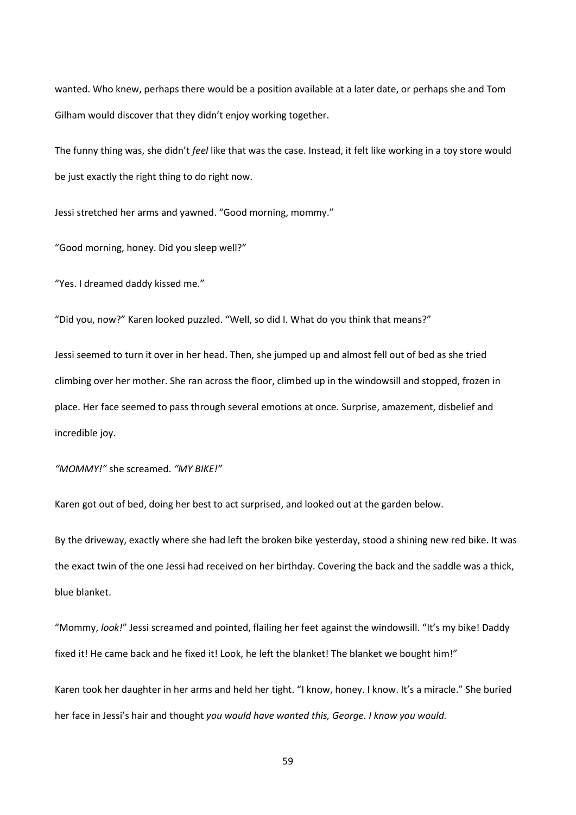wanted. Who knew, perhaps there would be a position available at a later date, or perhaps she and Tom Gilham would discover that they didn't enjoy working together.

The funny thing was, she didn't *feel* like that was the case. Instead, it felt like working in a toy store would be just exactly the right thing to do right now.

Jessi stretched her arms and yawned. "Good morning, mommy."

"Good morning, honey. Did you sleep well?"

"Yes. I dreamed daddy kissed me."

"Did you, now?" Karen looked puzzled. "Well, so did I. What do you think that means?"

Jessi seemed to turn it over in her head. Then, she jumped up and almost fell out of bed as she tried climbing over her mother. She ran across the floor, climbed up in the windowsill and stopped, frozen in place. Her face seemed to pass through several emotions at once. Surprise, amazement, disbelief and incredible joy.

*"MOMMY!"* she screamed. *"MY BIKE!"*

Karen got out of bed, doing her best to act surprised, and looked out at the garden below.

By the driveway, exactly where she had left the broken bike yesterday, stood a shining new red bike. It was the exact twin of the one Jessi had received on her birthday. Covering the back and the saddle was a thick, blue blanket.

"Mommy, *look!*" Jessi screamed and pointed, flailing her feet against the windowsill. "It's my bike! Daddy fixed it! He came back and he fixed it! Look, he left the blanket! The blanket we bought him!"

Karen took her daughter in her arms and held her tight. "I know, honey. I know. It's a miracle." She buried her face in Jessi's hair and thought *you would have wanted this, George. I know you would.*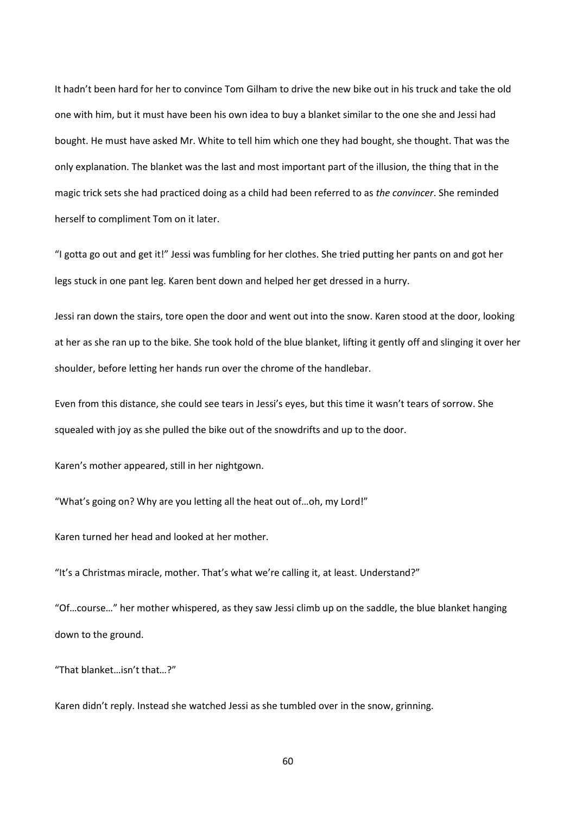It hadn't been hard for her to convince Tom Gilham to drive the new bike out in his truck and take the old one with him, but it must have been his own idea to buy a blanket similar to the one she and Jessi had bought. He must have asked Mr. White to tell him which one they had bought, she thought. That was the only explanation. The blanket was the last and most important part of the illusion, the thing that in the magic trick sets she had practiced doing as a child had been referred to as *the convincer*. She reminded herself to compliment Tom on it later.

"I gotta go out and get it!" Jessi was fumbling for her clothes. She tried putting her pants on and got her legs stuck in one pant leg. Karen bent down and helped her get dressed in a hurry.

Jessi ran down the stairs, tore open the door and went out into the snow. Karen stood at the door, looking at her as she ran up to the bike. She took hold of the blue blanket, lifting it gently off and slinging it over her shoulder, before letting her hands run over the chrome of the handlebar.

Even from this distance, she could see tears in Jessi's eyes, but this time it wasn't tears of sorrow. She squealed with joy as she pulled the bike out of the snowdrifts and up to the door.

Karen's mother appeared, still in her nightgown.

"What's going on? Why are you letting all the heat out of…oh, my Lord!"

Karen turned her head and looked at her mother.

"It's a Christmas miracle, mother. That's what we're calling it, at least. Understand?"

"Of…course…" her mother whispered, as they saw Jessi climb up on the saddle, the blue blanket hanging down to the ground.

"That blanket…isn't that…?"

Karen didn't reply. Instead she watched Jessi as she tumbled over in the snow, grinning.